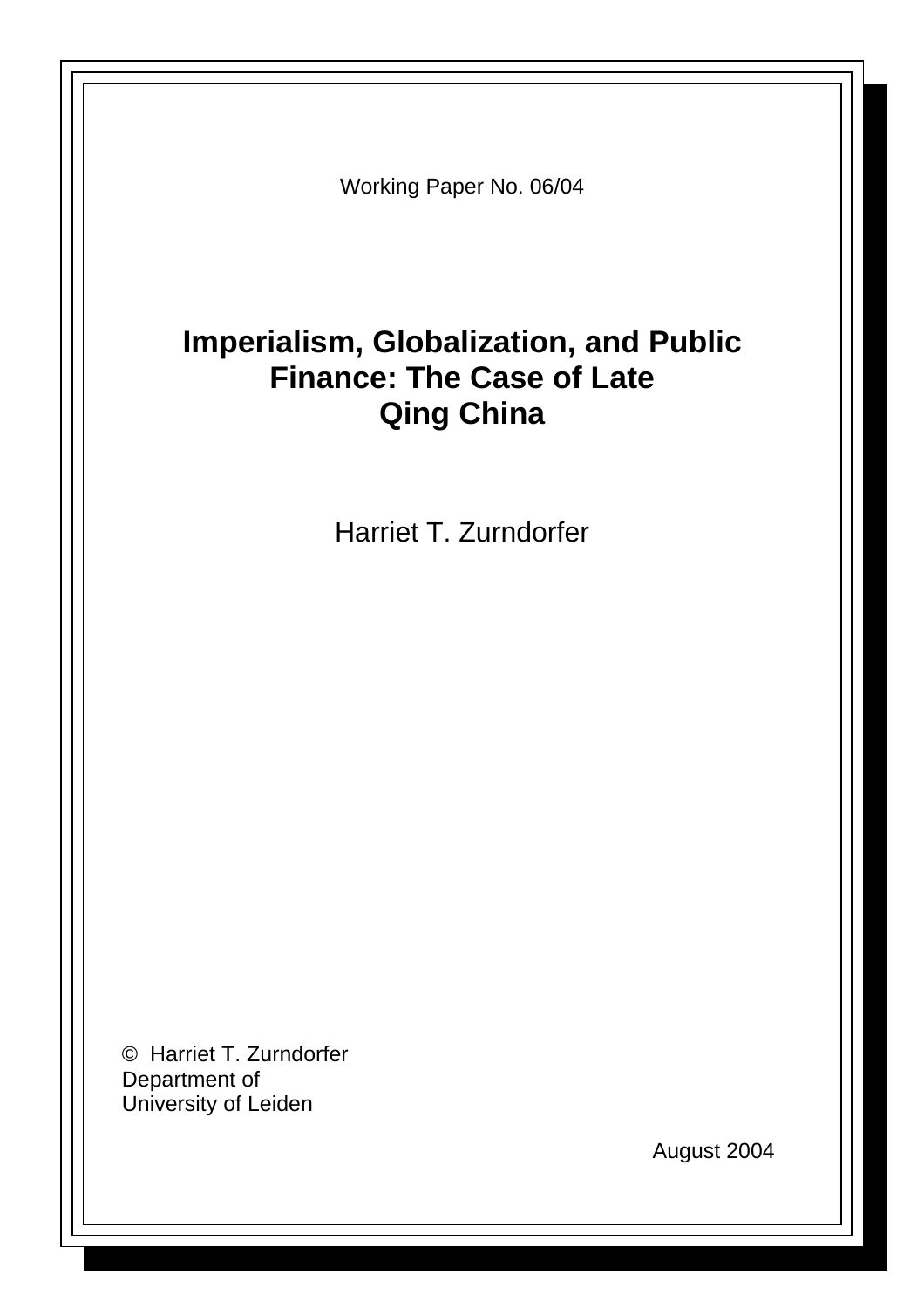Working Paper No. 06/04

# **Imperialism, Globalization, and Public Finance: The Case of Late Qing China**

Harriet T. Zurndorfer

© Harriet T. Zurndorfer Department of University of Leiden

August 2004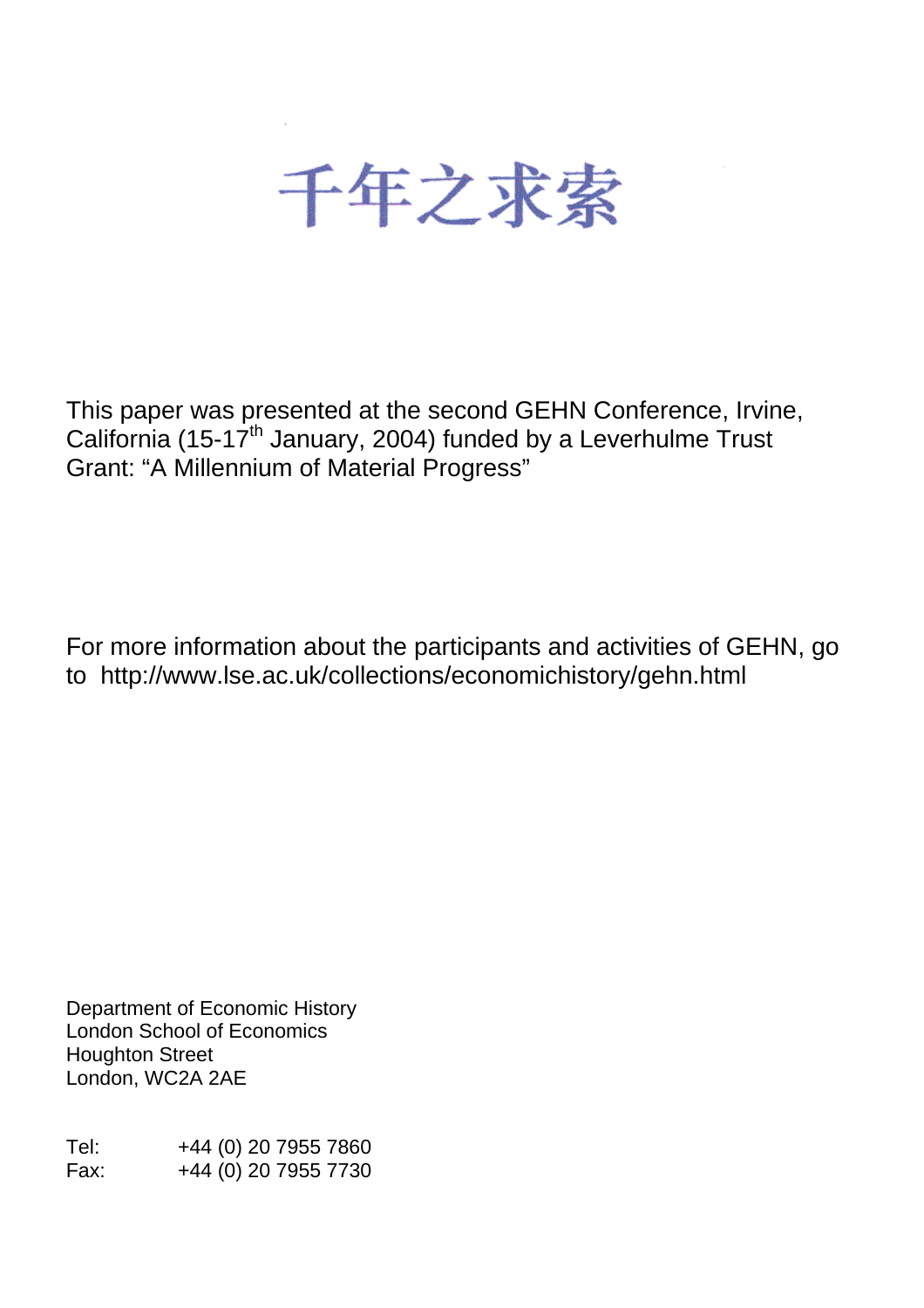

This paper was presented at the second GEHN Conference, Irvine, California (15-17<sup>th</sup> January, 2004) funded by a Leverhulme Trust Grant: "A Millennium of Material Progress"

For more information about the participants and activities of GEHN, go to http://www.lse.ac.uk/collections/economichistory/gehn.html

Department of Economic History London School of Economics Houghton Street London, WC2A 2AE

Tel: +44 (0) 20 7955 7860 Fax: +44 (0) 20 7955 7730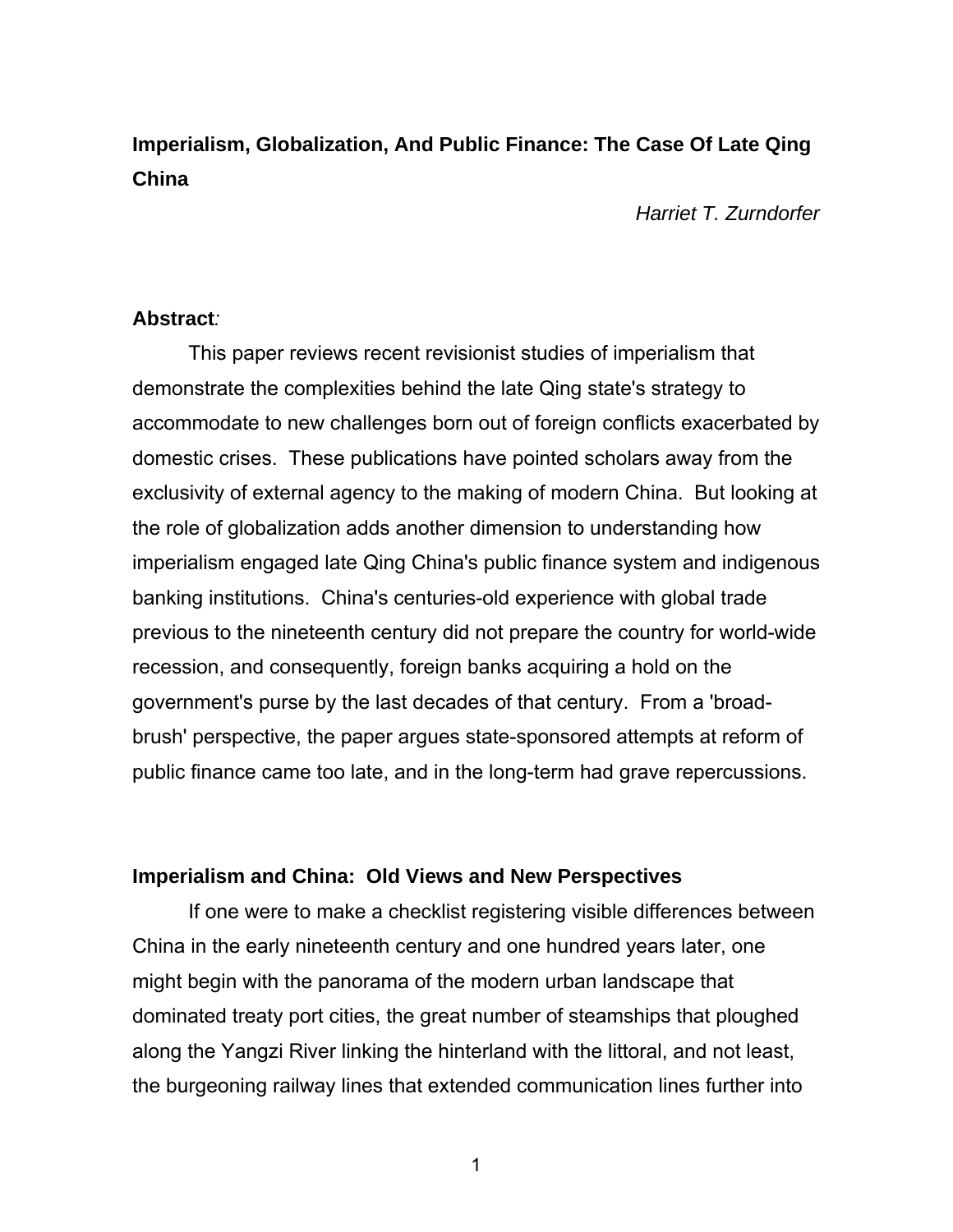# **Imperialism, Globalization, And Public Finance: The Case Of Late Qing China**

*Harriet T. Zurndorfer* 

#### **Abstract***:*

This paper reviews recent revisionist studies of imperialism that demonstrate the complexities behind the late Qing state's strategy to accommodate to new challenges born out of foreign conflicts exacerbated by domestic crises. These publications have pointed scholars away from the exclusivity of external agency to the making of modern China. But looking at the role of globalization adds another dimension to understanding how imperialism engaged late Qing China's public finance system and indigenous banking institutions. China's centuries-old experience with global trade previous to the nineteenth century did not prepare the country for world-wide recession, and consequently, foreign banks acquiring a hold on the government's purse by the last decades of that century. From a 'broadbrush' perspective, the paper argues state-sponsored attempts at reform of public finance came too late, and in the long-term had grave repercussions.

#### **Imperialism and China: Old Views and New Perspectives**

If one were to make a checklist registering visible differences between China in the early nineteenth century and one hundred years later, one might begin with the panorama of the modern urban landscape that dominated treaty port cities, the great number of steamships that ploughed along the Yangzi River linking the hinterland with the littoral, and not least, the burgeoning railway lines that extended communication lines further into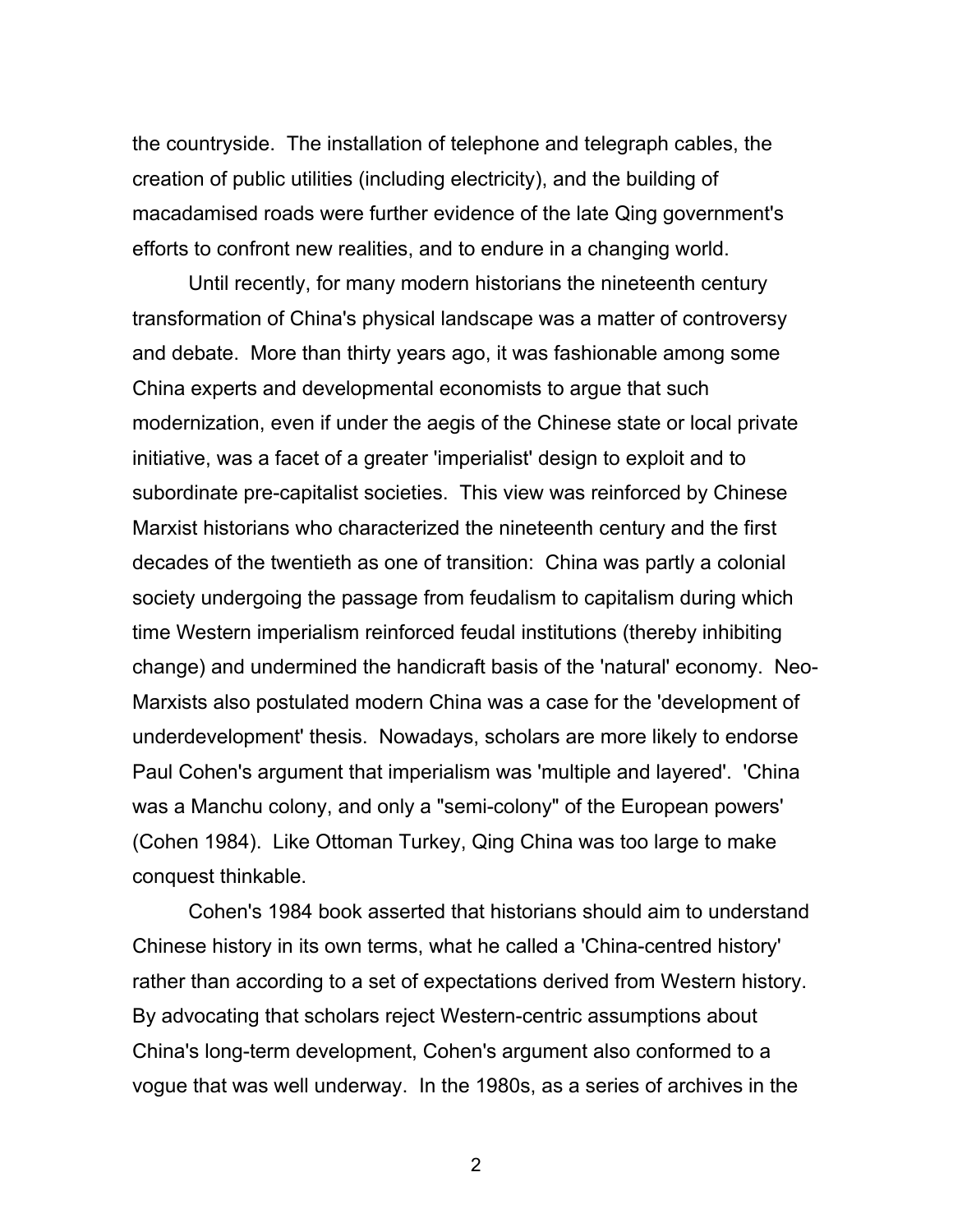the countryside. The installation of telephone and telegraph cables, the creation of public utilities (including electricity), and the building of macadamised roads were further evidence of the late Qing government's efforts to confront new realities, and to endure in a changing world.

Until recently, for many modern historians the nineteenth century transformation of China's physical landscape was a matter of controversy and debate. More than thirty years ago, it was fashionable among some China experts and developmental economists to argue that such modernization, even if under the aegis of the Chinese state or local private initiative, was a facet of a greater 'imperialist' design to exploit and to subordinate pre-capitalist societies. This view was reinforced by Chinese Marxist historians who characterized the nineteenth century and the first decades of the twentieth as one of transition: China was partly a colonial society undergoing the passage from feudalism to capitalism during which time Western imperialism reinforced feudal institutions (thereby inhibiting change) and undermined the handicraft basis of the 'natural' economy. Neo-Marxists also postulated modern China was a case for the 'development of underdevelopment' thesis. Nowadays, scholars are more likely to endorse Paul Cohen's argument that imperialism was 'multiple and layered'. 'China was a Manchu colony, and only a "semi-colony" of the European powers' (Cohen 1984). Like Ottoman Turkey, Qing China was too large to make conquest thinkable.

Cohen's 1984 book asserted that historians should aim to understand Chinese history in its own terms, what he called a 'China-centred history' rather than according to a set of expectations derived from Western history. By advocating that scholars reject Western-centric assumptions about China's long-term development, Cohen's argument also conformed to a vogue that was well underway. In the 1980s, as a series of archives in the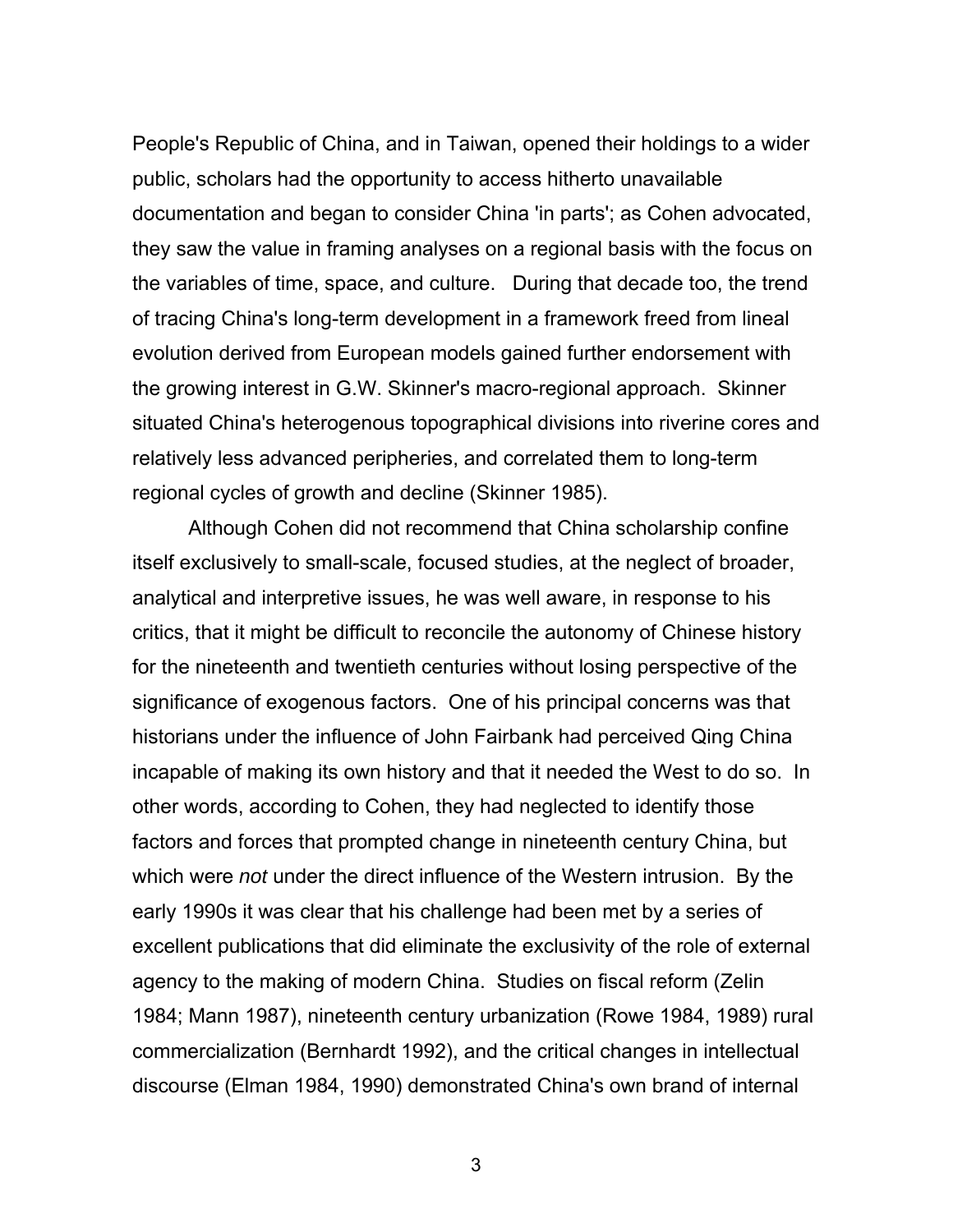People's Republic of China, and in Taiwan, opened their holdings to a wider public, scholars had the opportunity to access hitherto unavailable documentation and began to consider China 'in parts'; as Cohen advocated, they saw the value in framing analyses on a regional basis with the focus on the variables of time, space, and culture. During that decade too, the trend of tracing China's long-term development in a framework freed from lineal evolution derived from European models gained further endorsement with the growing interest in G.W. Skinner's macro-regional approach. Skinner situated China's heterogenous topographical divisions into riverine cores and relatively less advanced peripheries, and correlated them to long-term regional cycles of growth and decline (Skinner 1985).

Although Cohen did not recommend that China scholarship confine itself exclusively to small-scale, focused studies, at the neglect of broader, analytical and interpretive issues, he was well aware, in response to his critics, that it might be difficult to reconcile the autonomy of Chinese history for the nineteenth and twentieth centuries without losing perspective of the significance of exogenous factors. One of his principal concerns was that historians under the influence of John Fairbank had perceived Qing China incapable of making its own history and that it needed the West to do so. In other words, according to Cohen, they had neglected to identify those factors and forces that prompted change in nineteenth century China, but which were *not* under the direct influence of the Western intrusion. By the early 1990s it was clear that his challenge had been met by a series of excellent publications that did eliminate the exclusivity of the role of external agency to the making of modern China. Studies on fiscal reform (Zelin 1984; Mann 1987), nineteenth century urbanization (Rowe 1984, 1989) rural commercialization (Bernhardt 1992), and the critical changes in intellectual discourse (Elman 1984, 1990) demonstrated China's own brand of internal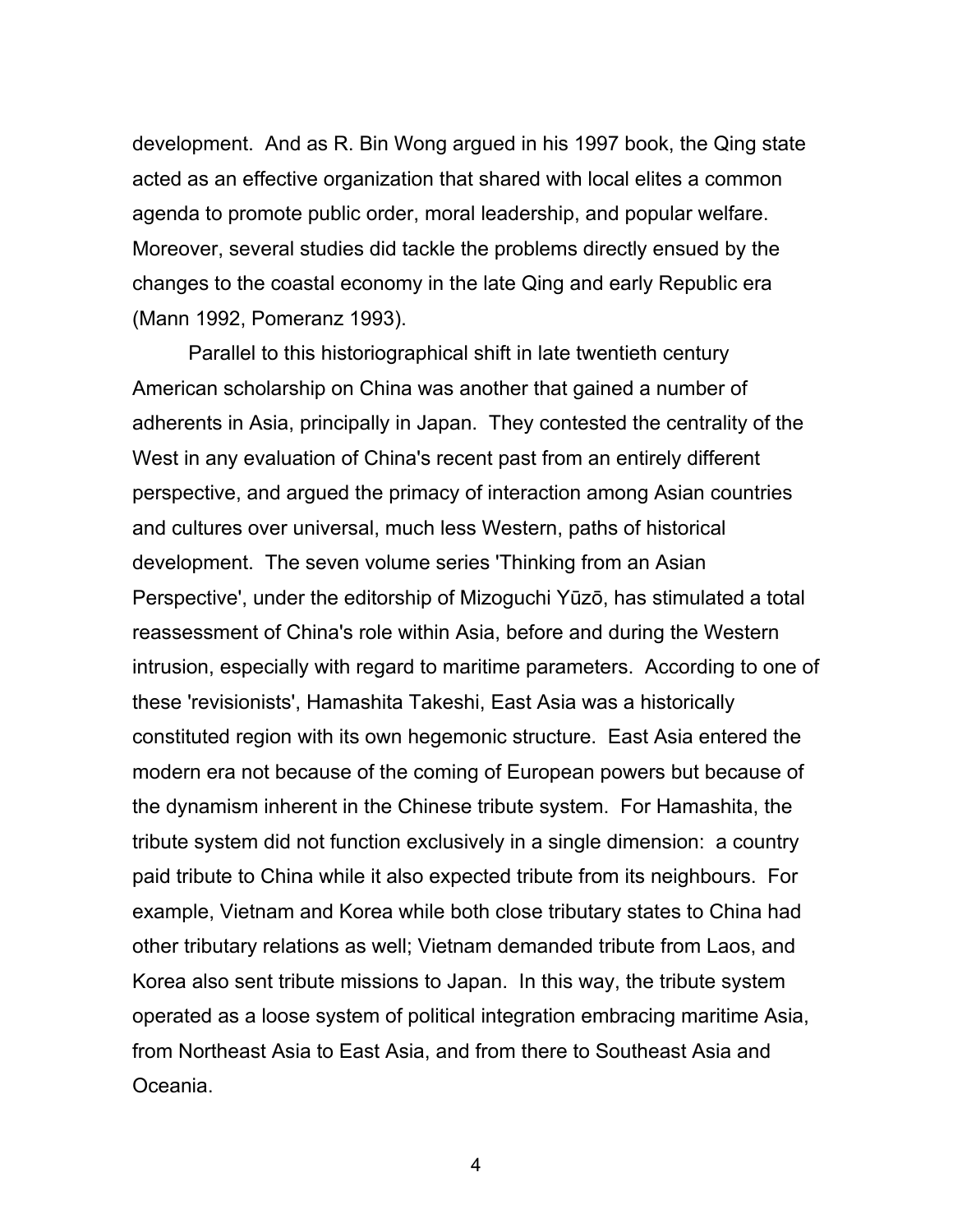development. And as R. Bin Wong argued in his 1997 book, the Qing state acted as an effective organization that shared with local elites a common agenda to promote public order, moral leadership, and popular welfare. Moreover, several studies did tackle the problems directly ensued by the changes to the coastal economy in the late Qing and early Republic era (Mann 1992, Pomeranz 1993).

Parallel to this historiographical shift in late twentieth century American scholarship on China was another that gained a number of adherents in Asia, principally in Japan. They contested the centrality of the West in any evaluation of China's recent past from an entirely different perspective, and argued the primacy of interaction among Asian countries and cultures over universal, much less Western, paths of historical development. The seven volume series 'Thinking from an Asian Perspective', under the editorship of Mizoguchi Yūzō, has stimulated a total reassessment of China's role within Asia, before and during the Western intrusion, especially with regard to maritime parameters. According to one of these 'revisionists', Hamashita Takeshi, East Asia was a historically constituted region with its own hegemonic structure. East Asia entered the modern era not because of the coming of European powers but because of the dynamism inherent in the Chinese tribute system. For Hamashita, the tribute system did not function exclusively in a single dimension: a country paid tribute to China while it also expected tribute from its neighbours. For example, Vietnam and Korea while both close tributary states to China had other tributary relations as well; Vietnam demanded tribute from Laos, and Korea also sent tribute missions to Japan. In this way, the tribute system operated as a loose system of political integration embracing maritime Asia, from Northeast Asia to East Asia, and from there to Southeast Asia and Oceania.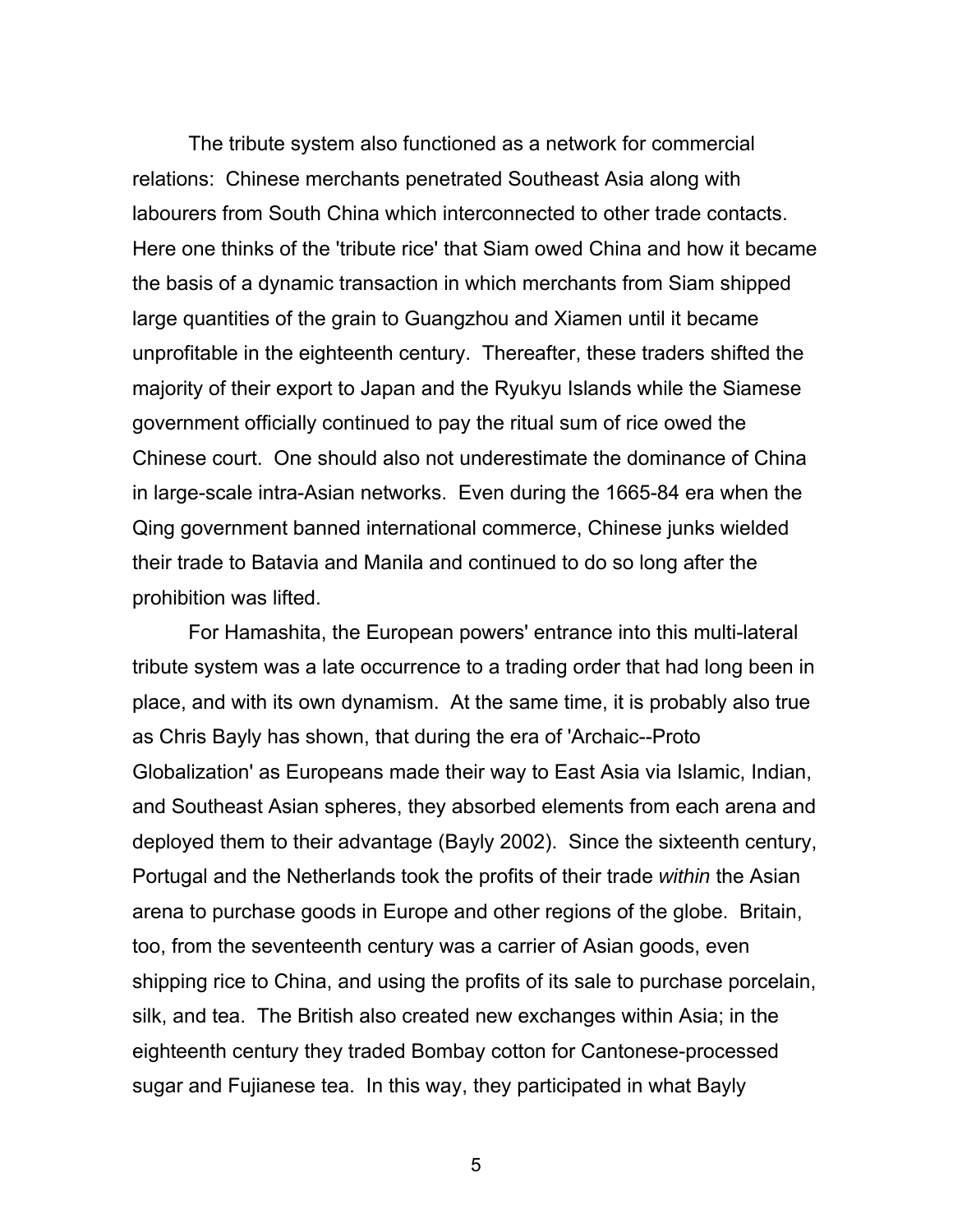The tribute system also functioned as a network for commercial relations: Chinese merchants penetrated Southeast Asia along with labourers from South China which interconnected to other trade contacts. Here one thinks of the 'tribute rice' that Siam owed China and how it became the basis of a dynamic transaction in which merchants from Siam shipped large quantities of the grain to Guangzhou and Xiamen until it became unprofitable in the eighteenth century. Thereafter, these traders shifted the majority of their export to Japan and the Ryukyu Islands while the Siamese government officially continued to pay the ritual sum of rice owed the Chinese court. One should also not underestimate the dominance of China in large-scale intra-Asian networks. Even during the 1665-84 era when the Qing government banned international commerce, Chinese junks wielded their trade to Batavia and Manila and continued to do so long after the prohibition was lifted.

For Hamashita, the European powers' entrance into this multi-lateral tribute system was a late occurrence to a trading order that had long been in place, and with its own dynamism. At the same time, it is probably also true as Chris Bayly has shown, that during the era of 'Archaic--Proto Globalization' as Europeans made their way to East Asia via Islamic, Indian, and Southeast Asian spheres, they absorbed elements from each arena and deployed them to their advantage (Bayly 2002). Since the sixteenth century, Portugal and the Netherlands took the profits of their trade *within* the Asian arena to purchase goods in Europe and other regions of the globe. Britain, too, from the seventeenth century was a carrier of Asian goods, even shipping rice to China, and using the profits of its sale to purchase porcelain, silk, and tea. The British also created new exchanges within Asia; in the eighteenth century they traded Bombay cotton for Cantonese-processed sugar and Fujianese tea. In this way, they participated in what Bayly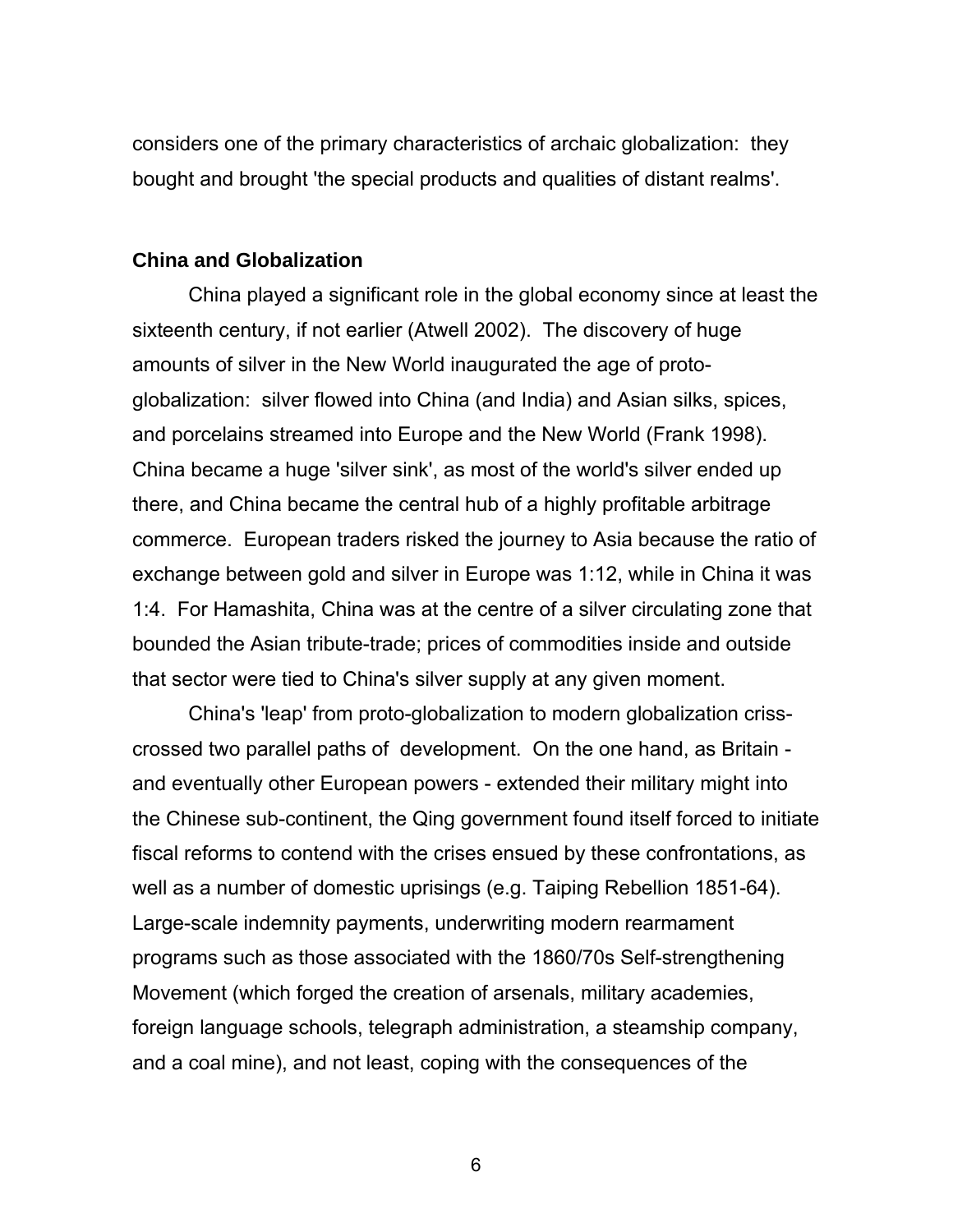considers one of the primary characteristics of archaic globalization: they bought and brought 'the special products and qualities of distant realms'.

#### **China and Globalization**

China played a significant role in the global economy since at least the sixteenth century, if not earlier (Atwell 2002). The discovery of huge amounts of silver in the New World inaugurated the age of protoglobalization: silver flowed into China (and India) and Asian silks, spices, and porcelains streamed into Europe and the New World (Frank 1998). China became a huge 'silver sink', as most of the world's silver ended up there, and China became the central hub of a highly profitable arbitrage commerce. European traders risked the journey to Asia because the ratio of exchange between gold and silver in Europe was 1:12, while in China it was 1:4. For Hamashita, China was at the centre of a silver circulating zone that bounded the Asian tribute-trade; prices of commodities inside and outside that sector were tied to China's silver supply at any given moment.

China's 'leap' from proto-globalization to modern globalization crisscrossed two parallel paths of development. On the one hand, as Britain and eventually other European powers - extended their military might into the Chinese sub-continent, the Qing government found itself forced to initiate fiscal reforms to contend with the crises ensued by these confrontations, as well as a number of domestic uprisings (e.g. Taiping Rebellion 1851-64). Large-scale indemnity payments, underwriting modern rearmament programs such as those associated with the 1860/70s Self-strengthening Movement (which forged the creation of arsenals, military academies, foreign language schools, telegraph administration, a steamship company, and a coal mine), and not least, coping with the consequences of the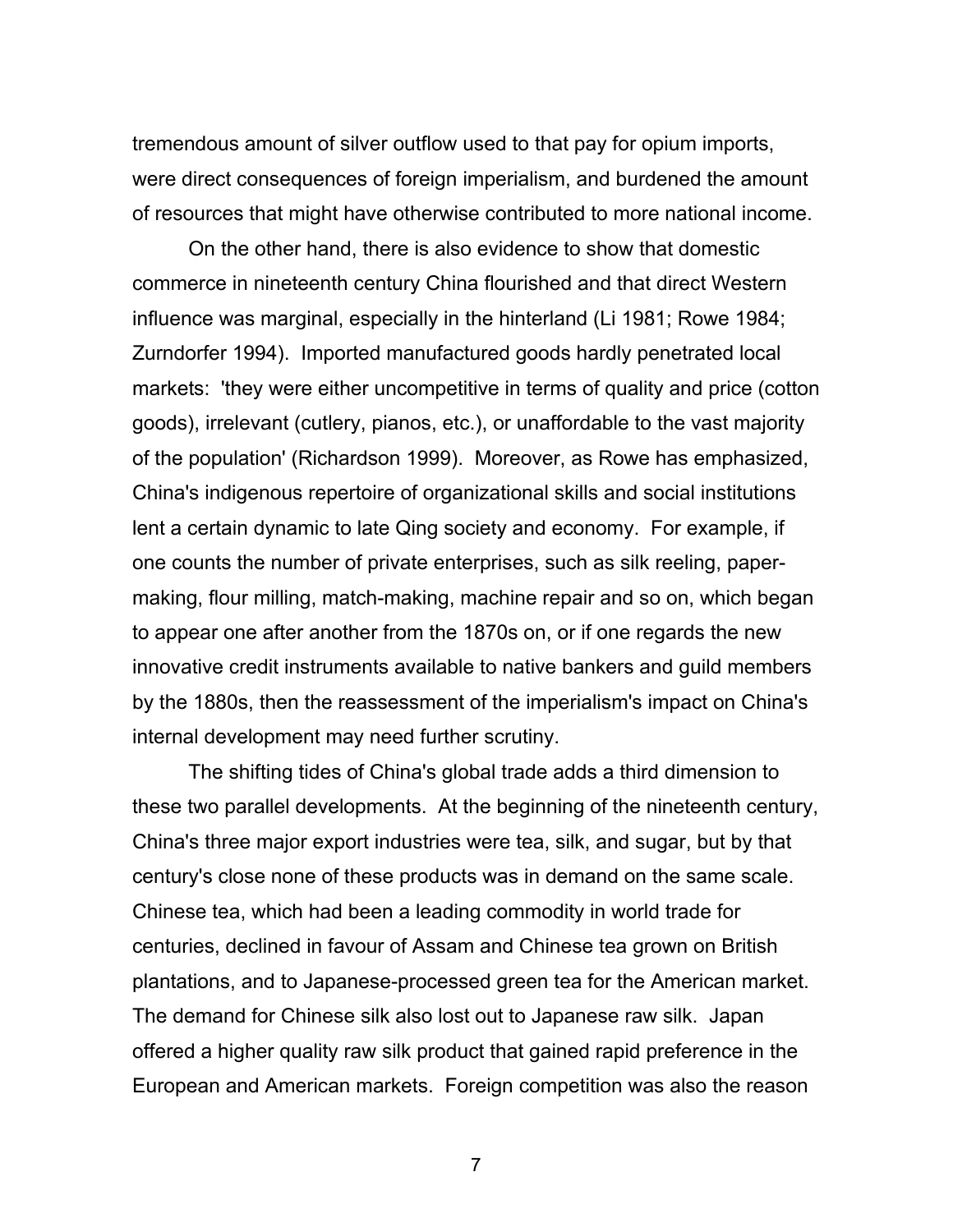tremendous amount of silver outflow used to that pay for opium imports, were direct consequences of foreign imperialism, and burdened the amount of resources that might have otherwise contributed to more national income.

On the other hand, there is also evidence to show that domestic commerce in nineteenth century China flourished and that direct Western influence was marginal, especially in the hinterland (Li 1981; Rowe 1984; Zurndorfer 1994). Imported manufactured goods hardly penetrated local markets: 'they were either uncompetitive in terms of quality and price (cotton goods), irrelevant (cutlery, pianos, etc.), or unaffordable to the vast majority of the population' (Richardson 1999). Moreover, as Rowe has emphasized, China's indigenous repertoire of organizational skills and social institutions lent a certain dynamic to late Qing society and economy. For example, if one counts the number of private enterprises, such as silk reeling, papermaking, flour milling, match-making, machine repair and so on, which began to appear one after another from the 1870s on, or if one regards the new innovative credit instruments available to native bankers and guild members by the 1880s, then the reassessment of the imperialism's impact on China's internal development may need further scrutiny.

The shifting tides of China's global trade adds a third dimension to these two parallel developments. At the beginning of the nineteenth century, China's three major export industries were tea, silk, and sugar, but by that century's close none of these products was in demand on the same scale. Chinese tea, which had been a leading commodity in world trade for centuries, declined in favour of Assam and Chinese tea grown on British plantations, and to Japanese-processed green tea for the American market. The demand for Chinese silk also lost out to Japanese raw silk. Japan offered a higher quality raw silk product that gained rapid preference in the European and American markets. Foreign competition was also the reason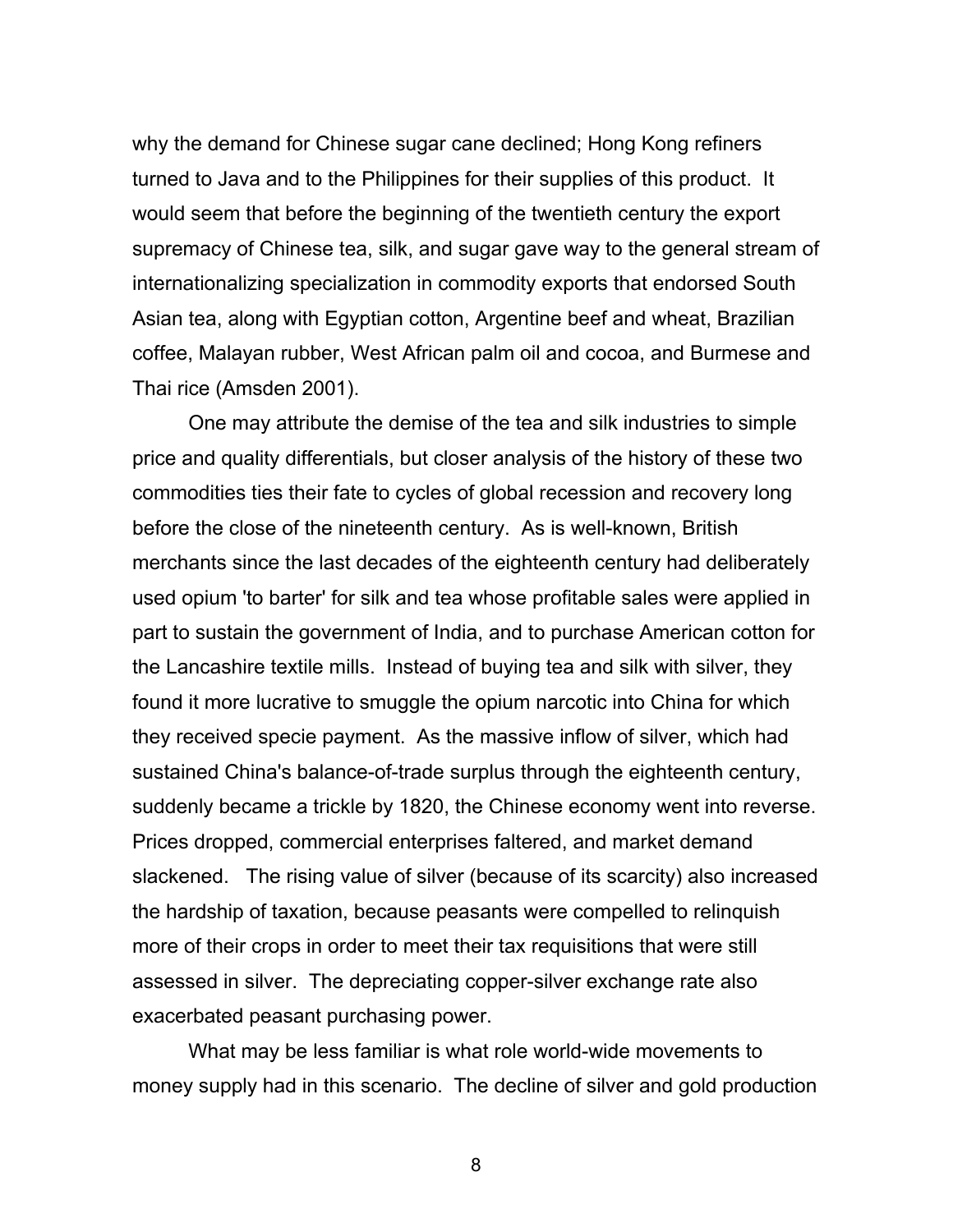why the demand for Chinese sugar cane declined; Hong Kong refiners turned to Java and to the Philippines for their supplies of this product. It would seem that before the beginning of the twentieth century the export supremacy of Chinese tea, silk, and sugar gave way to the general stream of internationalizing specialization in commodity exports that endorsed South Asian tea, along with Egyptian cotton, Argentine beef and wheat, Brazilian coffee, Malayan rubber, West African palm oil and cocoa, and Burmese and Thai rice (Amsden 2001).

One may attribute the demise of the tea and silk industries to simple price and quality differentials, but closer analysis of the history of these two commodities ties their fate to cycles of global recession and recovery long before the close of the nineteenth century. As is well-known, British merchants since the last decades of the eighteenth century had deliberately used opium 'to barter' for silk and tea whose profitable sales were applied in part to sustain the government of India, and to purchase American cotton for the Lancashire textile mills. Instead of buying tea and silk with silver, they found it more lucrative to smuggle the opium narcotic into China for which they received specie payment. As the massive inflow of silver, which had sustained China's balance-of-trade surplus through the eighteenth century, suddenly became a trickle by 1820, the Chinese economy went into reverse. Prices dropped, commercial enterprises faltered, and market demand slackened. The rising value of silver (because of its scarcity) also increased the hardship of taxation, because peasants were compelled to relinquish more of their crops in order to meet their tax requisitions that were still assessed in silver. The depreciating copper-silver exchange rate also exacerbated peasant purchasing power.

What may be less familiar is what role world-wide movements to money supply had in this scenario. The decline of silver and gold production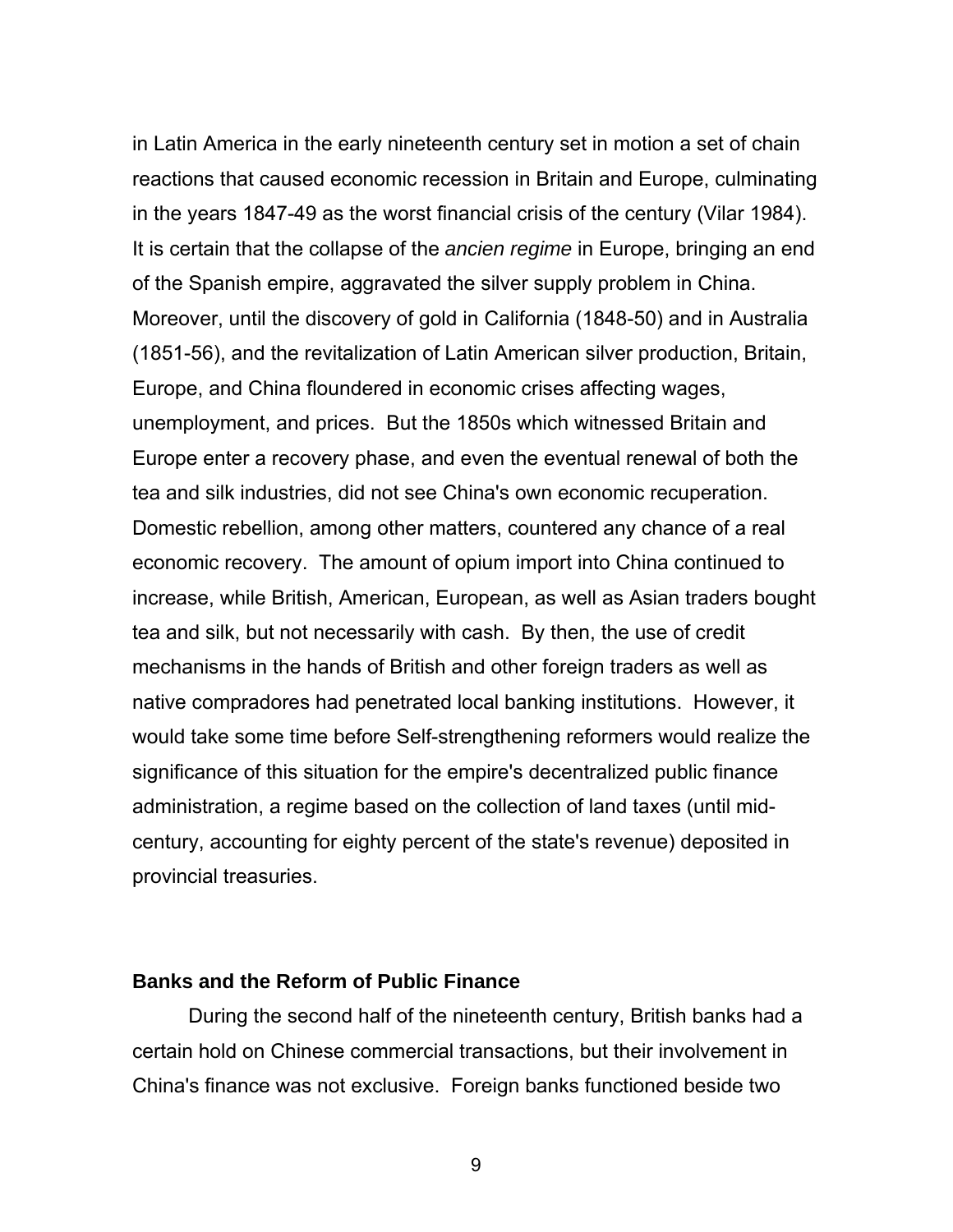in Latin America in the early nineteenth century set in motion a set of chain reactions that caused economic recession in Britain and Europe, culminating in the years 1847-49 as the worst financial crisis of the century (Vilar 1984). It is certain that the collapse of the *ancien regime* in Europe, bringing an end of the Spanish empire, aggravated the silver supply problem in China. Moreover, until the discovery of gold in California (1848-50) and in Australia (1851-56), and the revitalization of Latin American silver production, Britain, Europe, and China floundered in economic crises affecting wages, unemployment, and prices. But the 1850s which witnessed Britain and Europe enter a recovery phase, and even the eventual renewal of both the tea and silk industries, did not see China's own economic recuperation. Domestic rebellion, among other matters, countered any chance of a real economic recovery. The amount of opium import into China continued to increase, while British, American, European, as well as Asian traders bought tea and silk, but not necessarily with cash. By then, the use of credit mechanisms in the hands of British and other foreign traders as well as native compradores had penetrated local banking institutions. However, it would take some time before Self-strengthening reformers would realize the significance of this situation for the empire's decentralized public finance administration, a regime based on the collection of land taxes (until midcentury, accounting for eighty percent of the state's revenue) deposited in provincial treasuries.

#### **Banks and the Reform of Public Finance**

During the second half of the nineteenth century, British banks had a certain hold on Chinese commercial transactions, but their involvement in China's finance was not exclusive. Foreign banks functioned beside two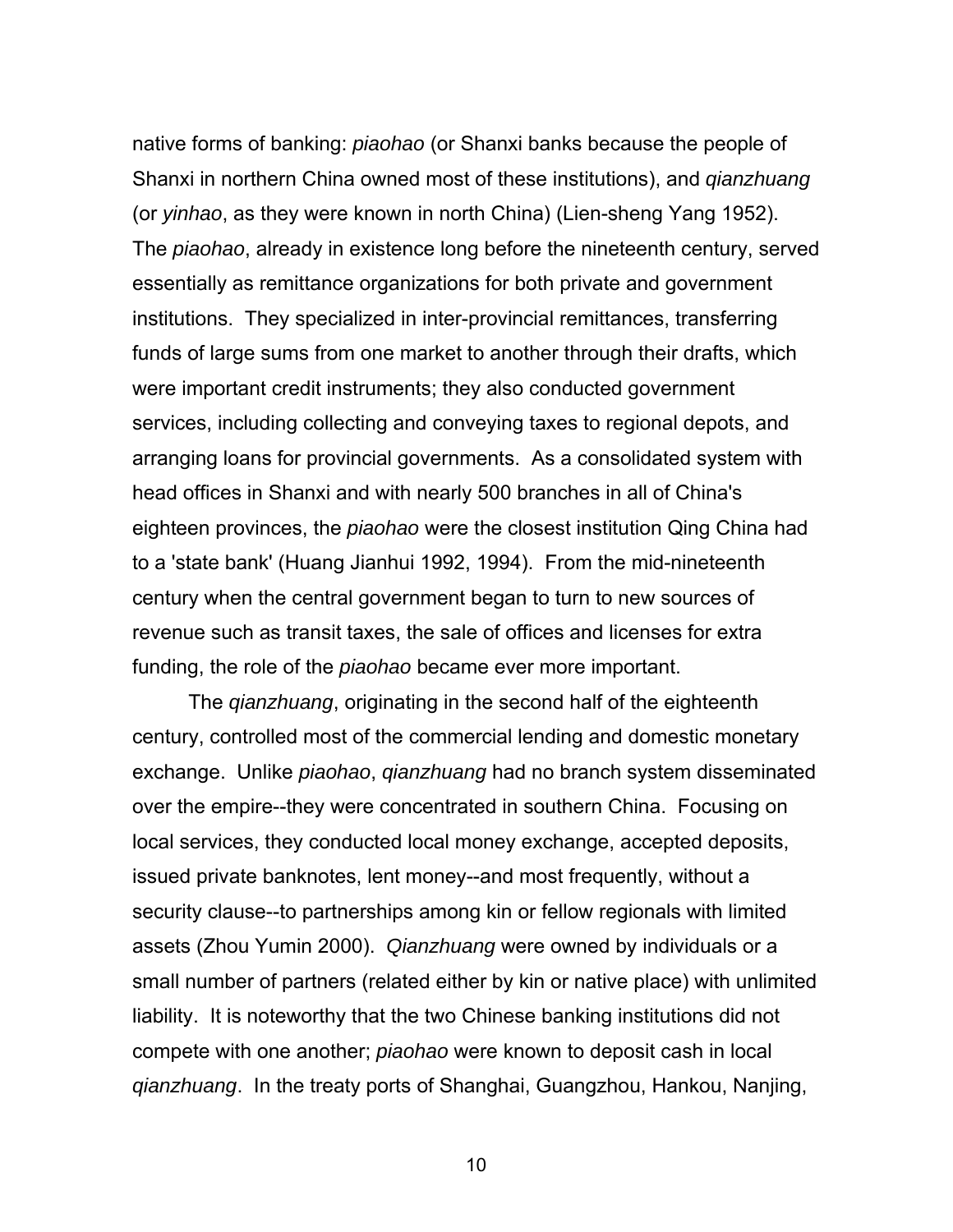native forms of banking: *piaohao* (or Shanxi banks because the people of Shanxi in northern China owned most of these institutions), and *qianzhuang* (or *yinhao*, as they were known in north China) (Lien-sheng Yang 1952). The *piaohao*, already in existence long before the nineteenth century, served essentially as remittance organizations for both private and government institutions. They specialized in inter-provincial remittances, transferring funds of large sums from one market to another through their drafts, which were important credit instruments; they also conducted government services, including collecting and conveying taxes to regional depots, and arranging loans for provincial governments. As a consolidated system with head offices in Shanxi and with nearly 500 branches in all of China's eighteen provinces, the *piaohao* were the closest institution Qing China had to a 'state bank' (Huang Jianhui 1992, 1994). From the mid-nineteenth century when the central government began to turn to new sources of revenue such as transit taxes, the sale of offices and licenses for extra funding, the role of the *piaohao* became ever more important.

The *qianzhuang*, originating in the second half of the eighteenth century, controlled most of the commercial lending and domestic monetary exchange. Unlike *piaohao*, *qianzhuang* had no branch system disseminated over the empire--they were concentrated in southern China. Focusing on local services, they conducted local money exchange, accepted deposits, issued private banknotes, lent money--and most frequently, without a security clause--to partnerships among kin or fellow regionals with limited assets (Zhou Yumin 2000). *Qianzhuang* were owned by individuals or a small number of partners (related either by kin or native place) with unlimited liability. It is noteworthy that the two Chinese banking institutions did not compete with one another; *piaohao* were known to deposit cash in local *qianzhuang*. In the treaty ports of Shanghai, Guangzhou, Hankou, Nanjing,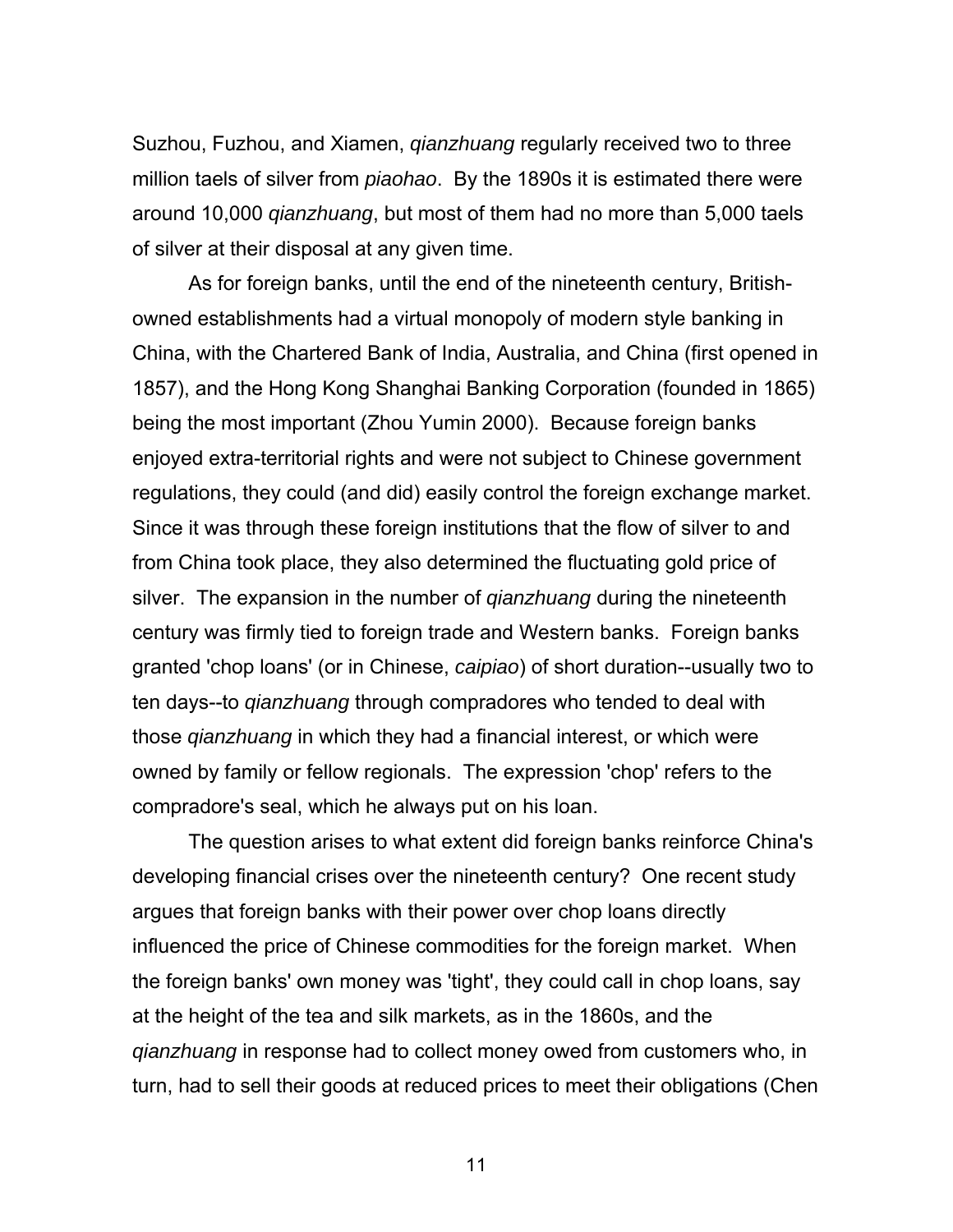Suzhou, Fuzhou, and Xiamen, *qianzhuang* regularly received two to three million taels of silver from *piaohao*. By the 1890s it is estimated there were around 10,000 *qianzhuang*, but most of them had no more than 5,000 taels of silver at their disposal at any given time.

As for foreign banks, until the end of the nineteenth century, Britishowned establishments had a virtual monopoly of modern style banking in China, with the Chartered Bank of India, Australia, and China (first opened in 1857), and the Hong Kong Shanghai Banking Corporation (founded in 1865) being the most important (Zhou Yumin 2000). Because foreign banks enjoyed extra-territorial rights and were not subject to Chinese government regulations, they could (and did) easily control the foreign exchange market. Since it was through these foreign institutions that the flow of silver to and from China took place, they also determined the fluctuating gold price of silver. The expansion in the number of *qianzhuang* during the nineteenth century was firmly tied to foreign trade and Western banks. Foreign banks granted 'chop loans' (or in Chinese, *caipiao*) of short duration--usually two to ten days--to *qianzhuang* through compradores who tended to deal with those *qianzhuang* in which they had a financial interest, or which were owned by family or fellow regionals. The expression 'chop' refers to the compradore's seal, which he always put on his loan.

The question arises to what extent did foreign banks reinforce China's developing financial crises over the nineteenth century? One recent study argues that foreign banks with their power over chop loans directly influenced the price of Chinese commodities for the foreign market. When the foreign banks' own money was 'tight', they could call in chop loans, say at the height of the tea and silk markets, as in the 1860s, and the *qianzhuang* in response had to collect money owed from customers who, in turn, had to sell their goods at reduced prices to meet their obligations (Chen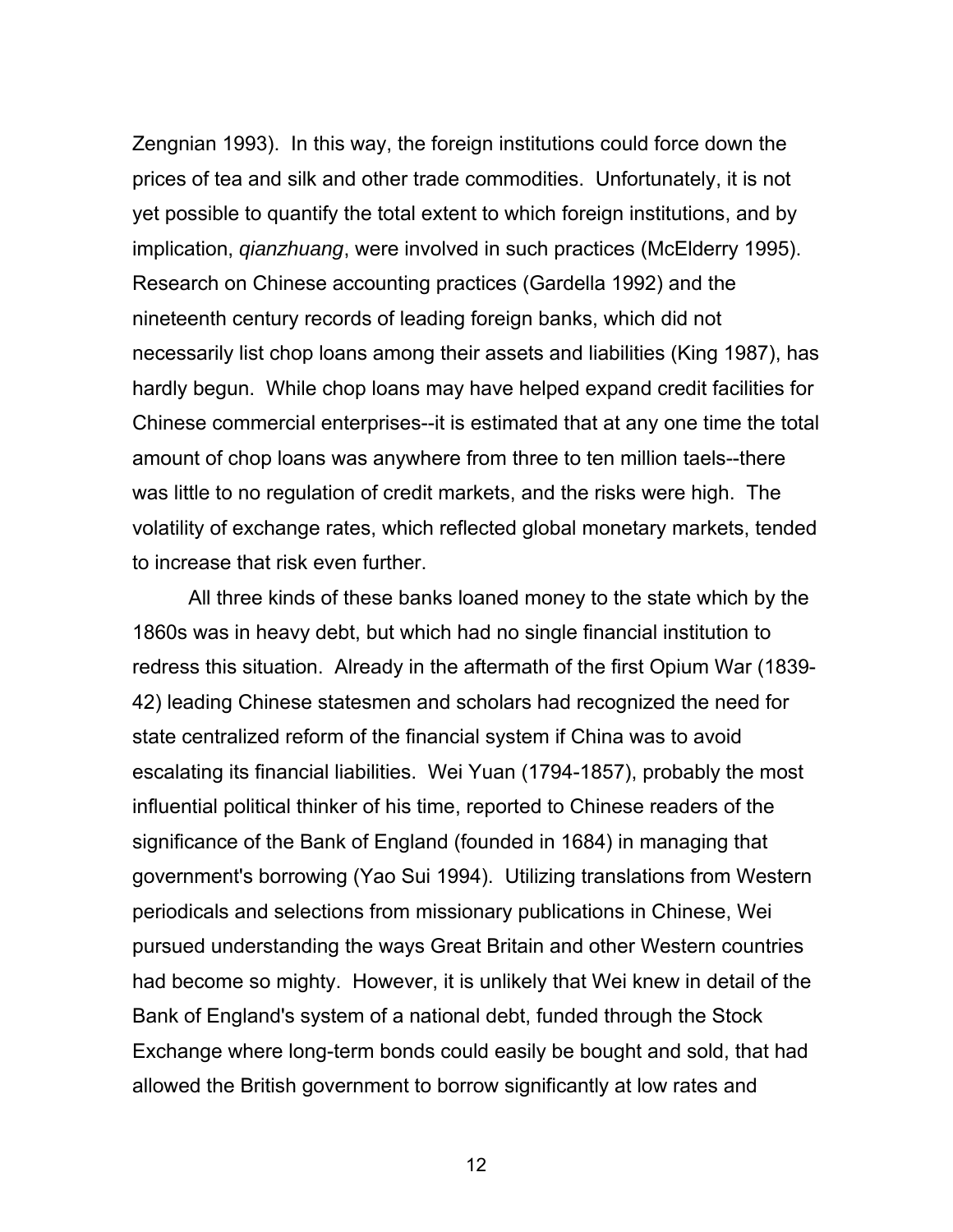Zengnian 1993). In this way, the foreign institutions could force down the prices of tea and silk and other trade commodities. Unfortunately, it is not yet possible to quantify the total extent to which foreign institutions, and by implication, *qianzhuang*, were involved in such practices (McElderry 1995). Research on Chinese accounting practices (Gardella 1992) and the nineteenth century records of leading foreign banks, which did not necessarily list chop loans among their assets and liabilities (King 1987), has hardly begun. While chop loans may have helped expand credit facilities for Chinese commercial enterprises--it is estimated that at any one time the total amount of chop loans was anywhere from three to ten million taels--there was little to no regulation of credit markets, and the risks were high. The volatility of exchange rates, which reflected global monetary markets, tended to increase that risk even further.

 All three kinds of these banks loaned money to the state which by the 1860s was in heavy debt, but which had no single financial institution to redress this situation. Already in the aftermath of the first Opium War (1839- 42) leading Chinese statesmen and scholars had recognized the need for state centralized reform of the financial system if China was to avoid escalating its financial liabilities. Wei Yuan (1794-1857), probably the most influential political thinker of his time, reported to Chinese readers of the significance of the Bank of England (founded in 1684) in managing that government's borrowing (Yao Sui 1994). Utilizing translations from Western periodicals and selections from missionary publications in Chinese, Wei pursued understanding the ways Great Britain and other Western countries had become so mighty. However, it is unlikely that Wei knew in detail of the Bank of England's system of a national debt, funded through the Stock Exchange where long-term bonds could easily be bought and sold, that had allowed the British government to borrow significantly at low rates and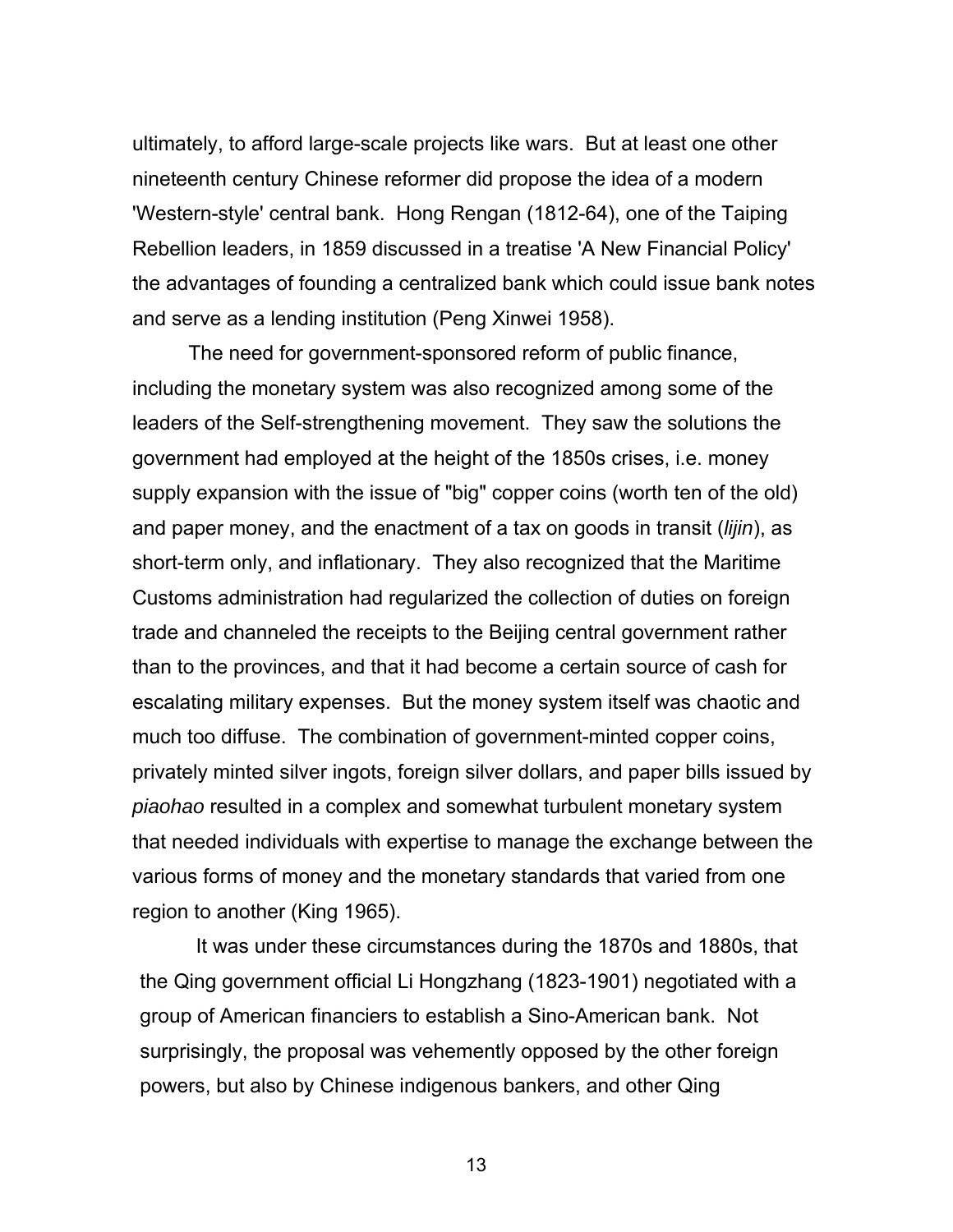ultimately, to afford large-scale projects like wars. But at least one other nineteenth century Chinese reformer did propose the idea of a modern 'Western-style' central bank. Hong Rengan (1812-64), one of the Taiping Rebellion leaders, in 1859 discussed in a treatise 'A New Financial Policy' the advantages of founding a centralized bank which could issue bank notes and serve as a lending institution (Peng Xinwei 1958).

The need for government-sponsored reform of public finance, including the monetary system was also recognized among some of the leaders of the Self-strengthening movement. They saw the solutions the government had employed at the height of the 1850s crises, i.e. money supply expansion with the issue of "big" copper coins (worth ten of the old) and paper money, and the enactment of a tax on goods in transit (*lijin*), as short-term only, and inflationary. They also recognized that the Maritime Customs administration had regularized the collection of duties on foreign trade and channeled the receipts to the Beijing central government rather than to the provinces, and that it had become a certain source of cash for escalating military expenses. But the money system itself was chaotic and much too diffuse. The combination of government-minted copper coins, privately minted silver ingots, foreign silver dollars, and paper bills issued by *piaohao* resulted in a complex and somewhat turbulent monetary system that needed individuals with expertise to manage the exchange between the various forms of money and the monetary standards that varied from one region to another (King 1965).

It was under these circumstances during the 1870s and 1880s, that the Qing government official Li Hongzhang (1823-1901) negotiated with a group of American financiers to establish a Sino-American bank. Not surprisingly, the proposal was vehemently opposed by the other foreign powers, but also by Chinese indigenous bankers, and other Qing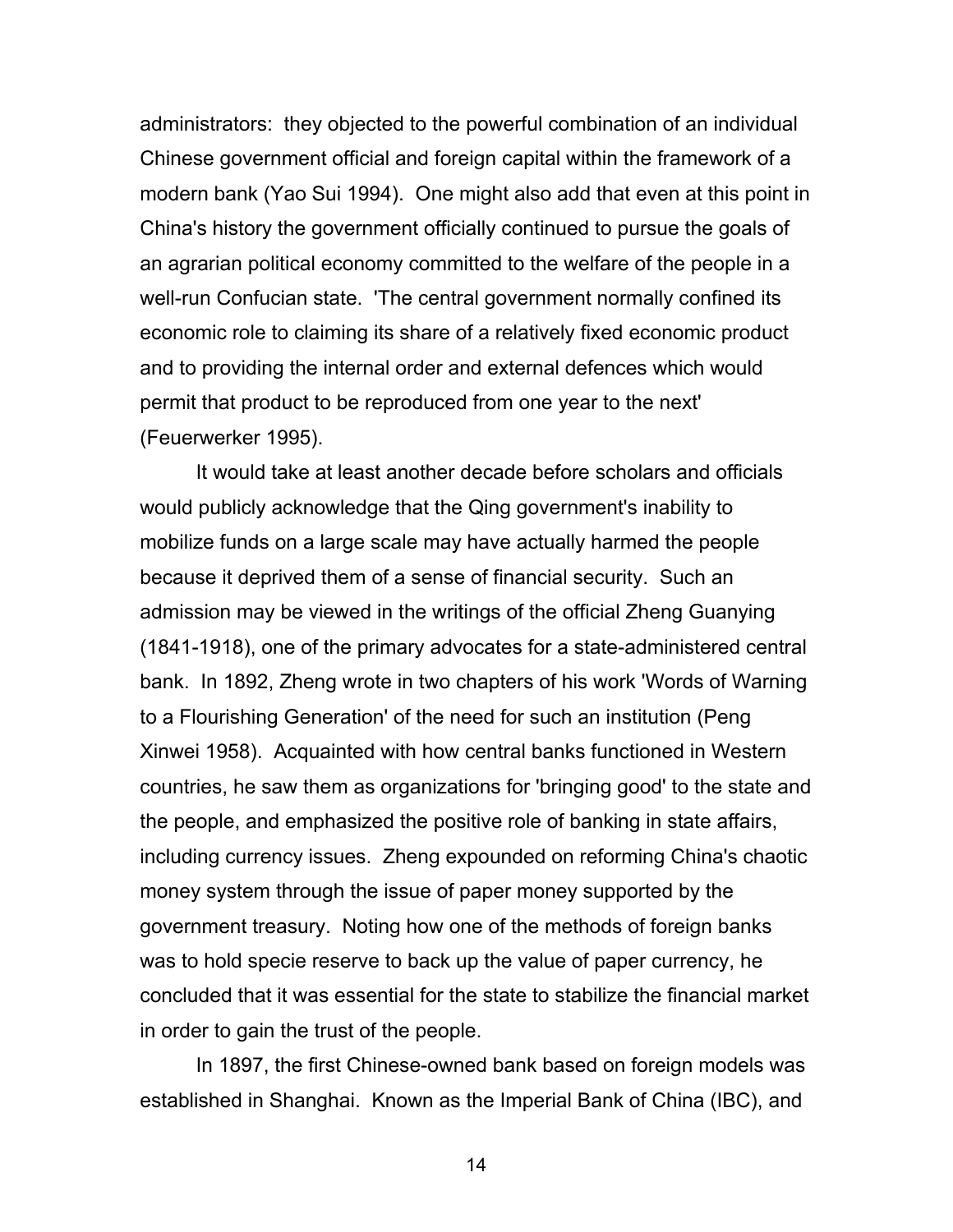administrators: they objected to the powerful combination of an individual Chinese government official and foreign capital within the framework of a modern bank (Yao Sui 1994). One might also add that even at this point in China's history the government officially continued to pursue the goals of an agrarian political economy committed to the welfare of the people in a well-run Confucian state. 'The central government normally confined its economic role to claiming its share of a relatively fixed economic product and to providing the internal order and external defences which would permit that product to be reproduced from one year to the next' (Feuerwerker 1995).

It would take at least another decade before scholars and officials would publicly acknowledge that the Qing government's inability to mobilize funds on a large scale may have actually harmed the people because it deprived them of a sense of financial security. Such an admission may be viewed in the writings of the official Zheng Guanying (1841-1918), one of the primary advocates for a state-administered central bank. In 1892, Zheng wrote in two chapters of his work 'Words of Warning to a Flourishing Generation' of the need for such an institution (Peng Xinwei 1958). Acquainted with how central banks functioned in Western countries, he saw them as organizations for 'bringing good' to the state and the people, and emphasized the positive role of banking in state affairs, including currency issues. Zheng expounded on reforming China's chaotic money system through the issue of paper money supported by the government treasury. Noting how one of the methods of foreign banks was to hold specie reserve to back up the value of paper currency, he concluded that it was essential for the state to stabilize the financial market in order to gain the trust of the people.

In 1897, the first Chinese-owned bank based on foreign models was established in Shanghai. Known as the Imperial Bank of China (IBC), and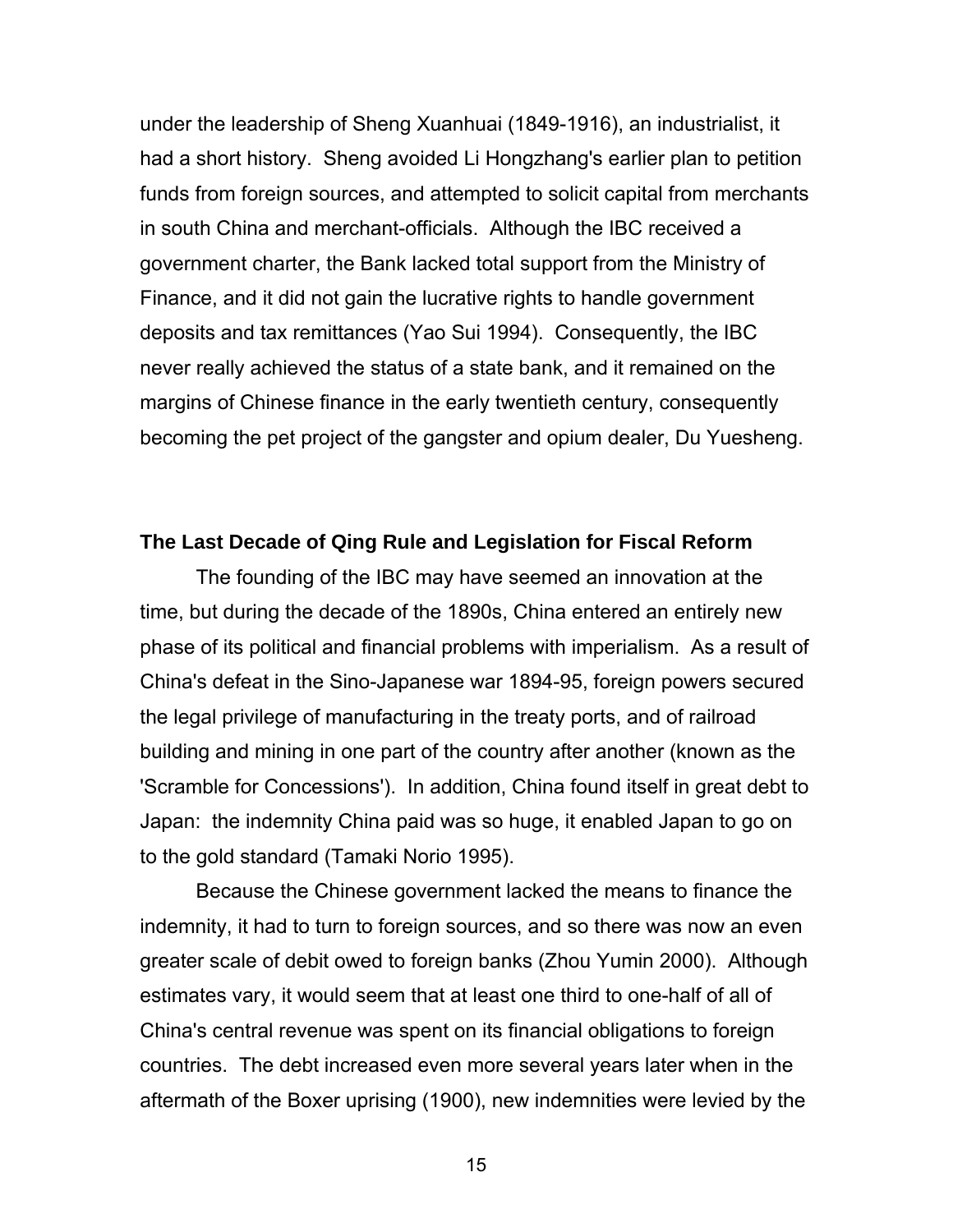under the leadership of Sheng Xuanhuai (1849-1916), an industrialist, it had a short history. Sheng avoided Li Hongzhang's earlier plan to petition funds from foreign sources, and attempted to solicit capital from merchants in south China and merchant-officials. Although the IBC received a government charter, the Bank lacked total support from the Ministry of Finance, and it did not gain the lucrative rights to handle government deposits and tax remittances (Yao Sui 1994). Consequently, the IBC never really achieved the status of a state bank, and it remained on the margins of Chinese finance in the early twentieth century, consequently becoming the pet project of the gangster and opium dealer, Du Yuesheng.

#### **The Last Decade of Qing Rule and Legislation for Fiscal Reform**

The founding of the IBC may have seemed an innovation at the time, but during the decade of the 1890s, China entered an entirely new phase of its political and financial problems with imperialism. As a result of China's defeat in the Sino-Japanese war 1894-95, foreign powers secured the legal privilege of manufacturing in the treaty ports, and of railroad building and mining in one part of the country after another (known as the 'Scramble for Concessions'). In addition, China found itself in great debt to Japan: the indemnity China paid was so huge, it enabled Japan to go on to the gold standard (Tamaki Norio 1995).

Because the Chinese government lacked the means to finance the indemnity, it had to turn to foreign sources, and so there was now an even greater scale of debit owed to foreign banks (Zhou Yumin 2000). Although estimates vary, it would seem that at least one third to one-half of all of China's central revenue was spent on its financial obligations to foreign countries. The debt increased even more several years later when in the aftermath of the Boxer uprising (1900), new indemnities were levied by the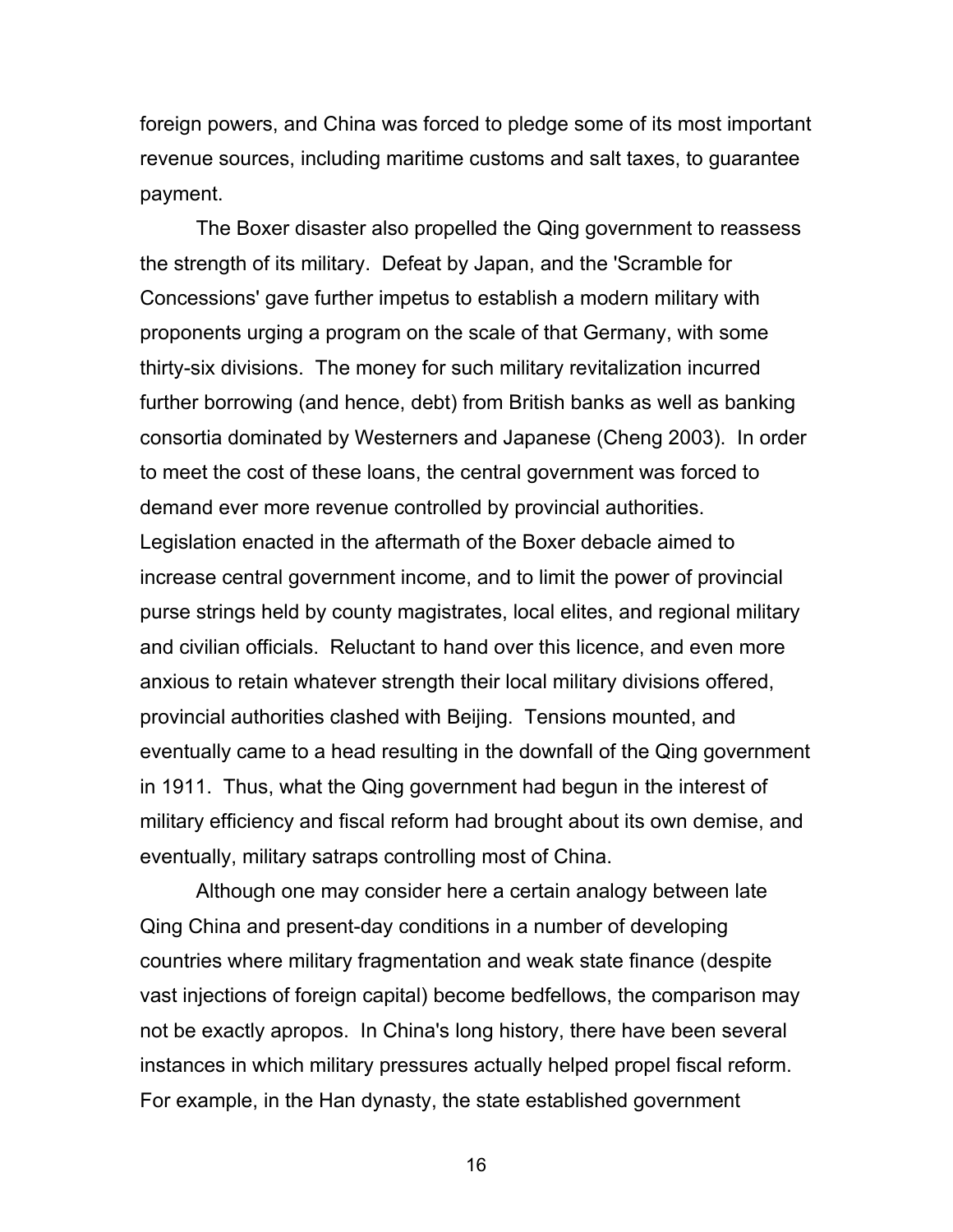foreign powers, and China was forced to pledge some of its most important revenue sources, including maritime customs and salt taxes, to guarantee payment.

The Boxer disaster also propelled the Qing government to reassess the strength of its military. Defeat by Japan, and the 'Scramble for Concessions' gave further impetus to establish a modern military with proponents urging a program on the scale of that Germany, with some thirty-six divisions. The money for such military revitalization incurred further borrowing (and hence, debt) from British banks as well as banking consortia dominated by Westerners and Japanese (Cheng 2003). In order to meet the cost of these loans, the central government was forced to demand ever more revenue controlled by provincial authorities. Legislation enacted in the aftermath of the Boxer debacle aimed to increase central government income, and to limit the power of provincial purse strings held by county magistrates, local elites, and regional military and civilian officials. Reluctant to hand over this licence, and even more anxious to retain whatever strength their local military divisions offered, provincial authorities clashed with Beijing. Tensions mounted, and eventually came to a head resulting in the downfall of the Qing government in 1911. Thus, what the Qing government had begun in the interest of military efficiency and fiscal reform had brought about its own demise, and eventually, military satraps controlling most of China.

Although one may consider here a certain analogy between late Qing China and present-day conditions in a number of developing countries where military fragmentation and weak state finance (despite vast injections of foreign capital) become bedfellows, the comparison may not be exactly apropos. In China's long history, there have been several instances in which military pressures actually helped propel fiscal reform. For example, in the Han dynasty, the state established government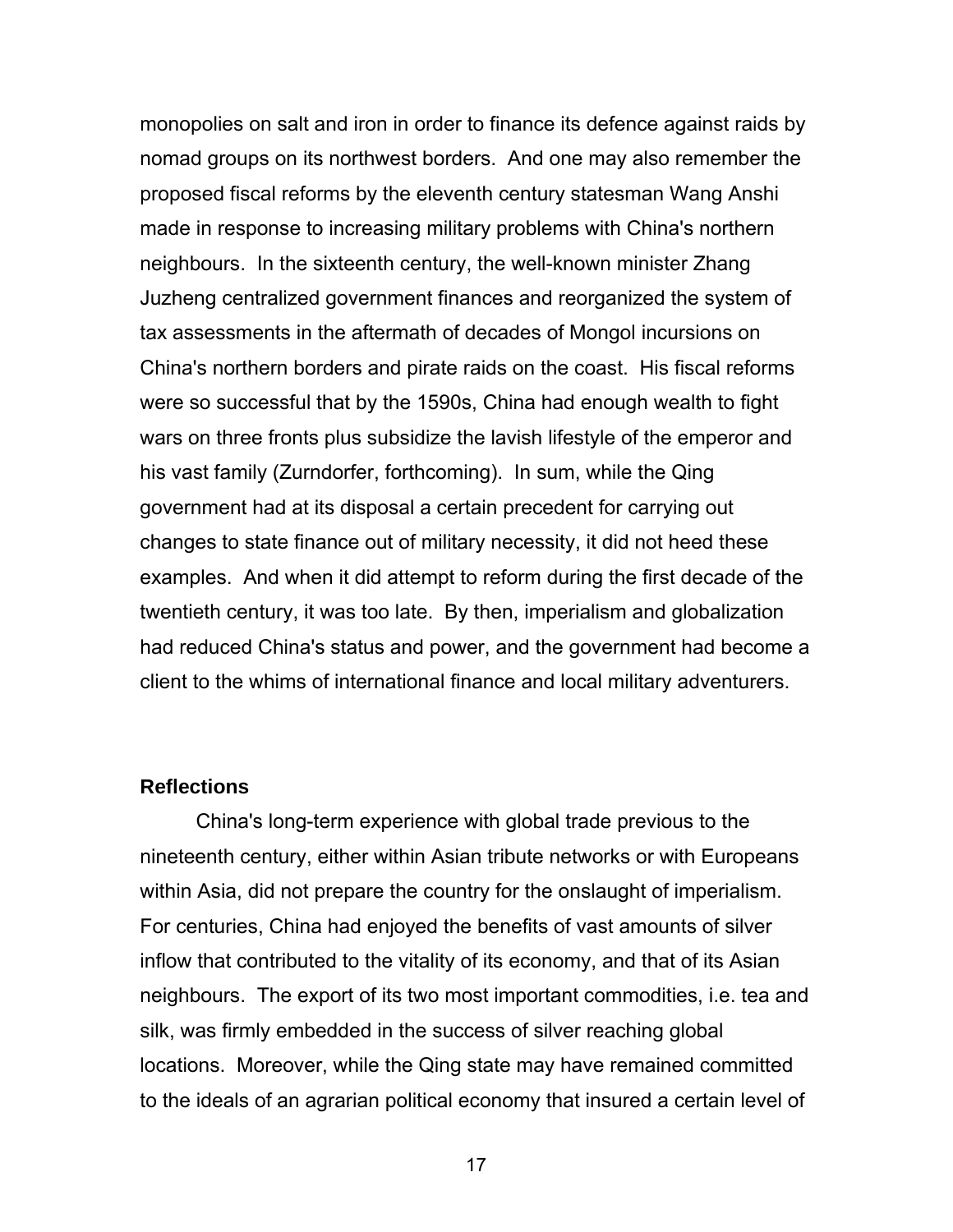monopolies on salt and iron in order to finance its defence against raids by nomad groups on its northwest borders. And one may also remember the proposed fiscal reforms by the eleventh century statesman Wang Anshi made in response to increasing military problems with China's northern neighbours. In the sixteenth century, the well-known minister Zhang Juzheng centralized government finances and reorganized the system of tax assessments in the aftermath of decades of Mongol incursions on China's northern borders and pirate raids on the coast. His fiscal reforms were so successful that by the 1590s, China had enough wealth to fight wars on three fronts plus subsidize the lavish lifestyle of the emperor and his vast family (Zurndorfer, forthcoming). In sum, while the Qing government had at its disposal a certain precedent for carrying out changes to state finance out of military necessity, it did not heed these examples. And when it did attempt to reform during the first decade of the twentieth century, it was too late. By then, imperialism and globalization had reduced China's status and power, and the government had become a client to the whims of international finance and local military adventurers.

#### **Reflections**

China's long-term experience with global trade previous to the nineteenth century, either within Asian tribute networks or with Europeans within Asia, did not prepare the country for the onslaught of imperialism. For centuries, China had enjoyed the benefits of vast amounts of silver inflow that contributed to the vitality of its economy, and that of its Asian neighbours. The export of its two most important commodities, i.e. tea and silk, was firmly embedded in the success of silver reaching global locations. Moreover, while the Qing state may have remained committed to the ideals of an agrarian political economy that insured a certain level of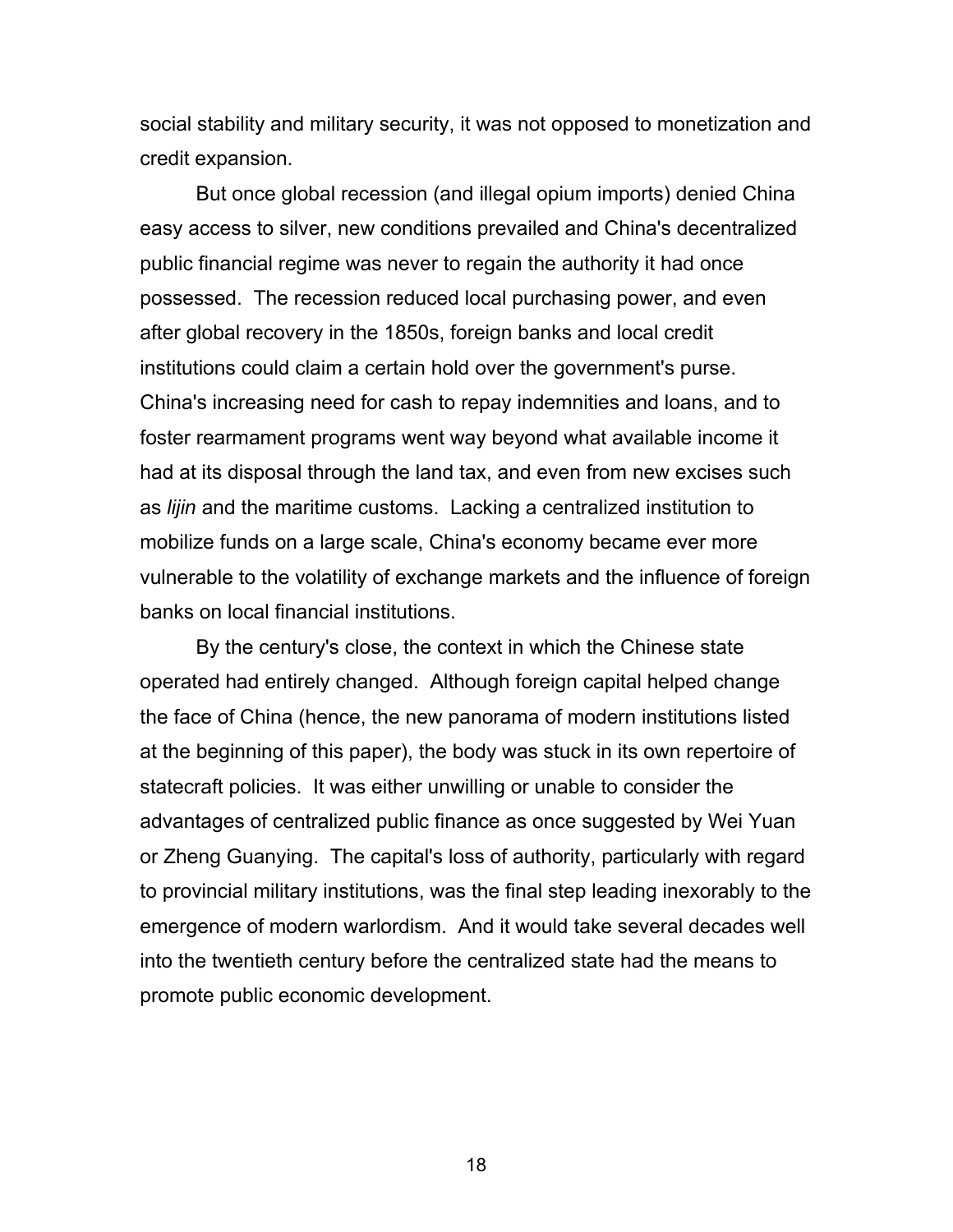social stability and military security, it was not opposed to monetization and credit expansion.

But once global recession (and illegal opium imports) denied China easy access to silver, new conditions prevailed and China's decentralized public financial regime was never to regain the authority it had once possessed. The recession reduced local purchasing power, and even after global recovery in the 1850s, foreign banks and local credit institutions could claim a certain hold over the government's purse. China's increasing need for cash to repay indemnities and loans, and to foster rearmament programs went way beyond what available income it had at its disposal through the land tax, and even from new excises such as *lijin* and the maritime customs. Lacking a centralized institution to mobilize funds on a large scale, China's economy became ever more vulnerable to the volatility of exchange markets and the influence of foreign banks on local financial institutions.

By the century's close, the context in which the Chinese state operated had entirely changed. Although foreign capital helped change the face of China (hence, the new panorama of modern institutions listed at the beginning of this paper), the body was stuck in its own repertoire of statecraft policies. It was either unwilling or unable to consider the advantages of centralized public finance as once suggested by Wei Yuan or Zheng Guanying. The capital's loss of authority, particularly with regard to provincial military institutions, was the final step leading inexorably to the emergence of modern warlordism. And it would take several decades well into the twentieth century before the centralized state had the means to promote public economic development.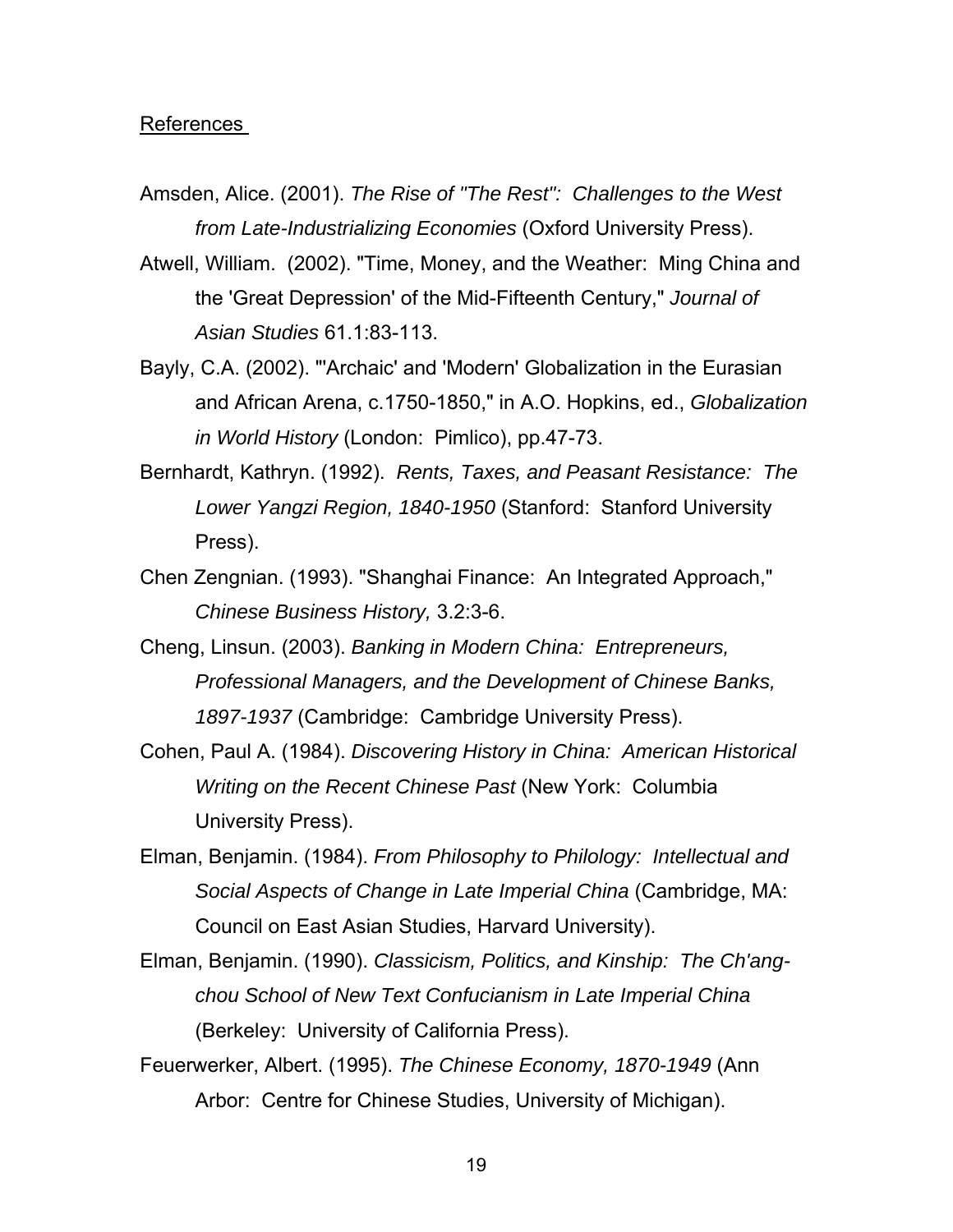#### References

- Amsden, Alice. (2001). *The Rise of "The Rest": Challenges to the West from Late-Industrializing Economies* (Oxford University Press).
- Atwell, William. (2002). "Time, Money, and the Weather: Ming China and the 'Great Depression' of the Mid-Fifteenth Century," *Journal of Asian Studies* 61.1:83-113.
- Bayly, C.A. (2002). "'Archaic' and 'Modern' Globalization in the Eurasian and African Arena, c.1750-1850," in A.O. Hopkins, ed., *Globalization in World History* (London: Pimlico), pp.47-73.
- Bernhardt, Kathryn. (1992). *Rents, Taxes, and Peasant Resistance: The Lower Yangzi Region, 1840-1950* (Stanford: Stanford University Press).
- Chen Zengnian. (1993). "Shanghai Finance: An Integrated Approach," *Chinese Business History,* 3.2:3-6.
- Cheng, Linsun. (2003). *Banking in Modern China: Entrepreneurs, Professional Managers, and the Development of Chinese Banks, 1897-1937* (Cambridge: Cambridge University Press).
- Cohen, Paul A. (1984). *Discovering History in China: American Historical Writing on the Recent Chinese Past* (New York: Columbia University Press).
- Elman, Benjamin. (1984). *From Philosophy to Philology: Intellectual and Social Aspects of Change in Late Imperial China* (Cambridge, MA: Council on East Asian Studies, Harvard University).
- Elman, Benjamin. (1990). *Classicism, Politics, and Kinship: The Ch'angchou School of New Text Confucianism in Late Imperial China*  (Berkeley: University of California Press).
- Feuerwerker, Albert. (1995). *The Chinese Economy, 1870-1949* (Ann Arbor: Centre for Chinese Studies, University of Michigan).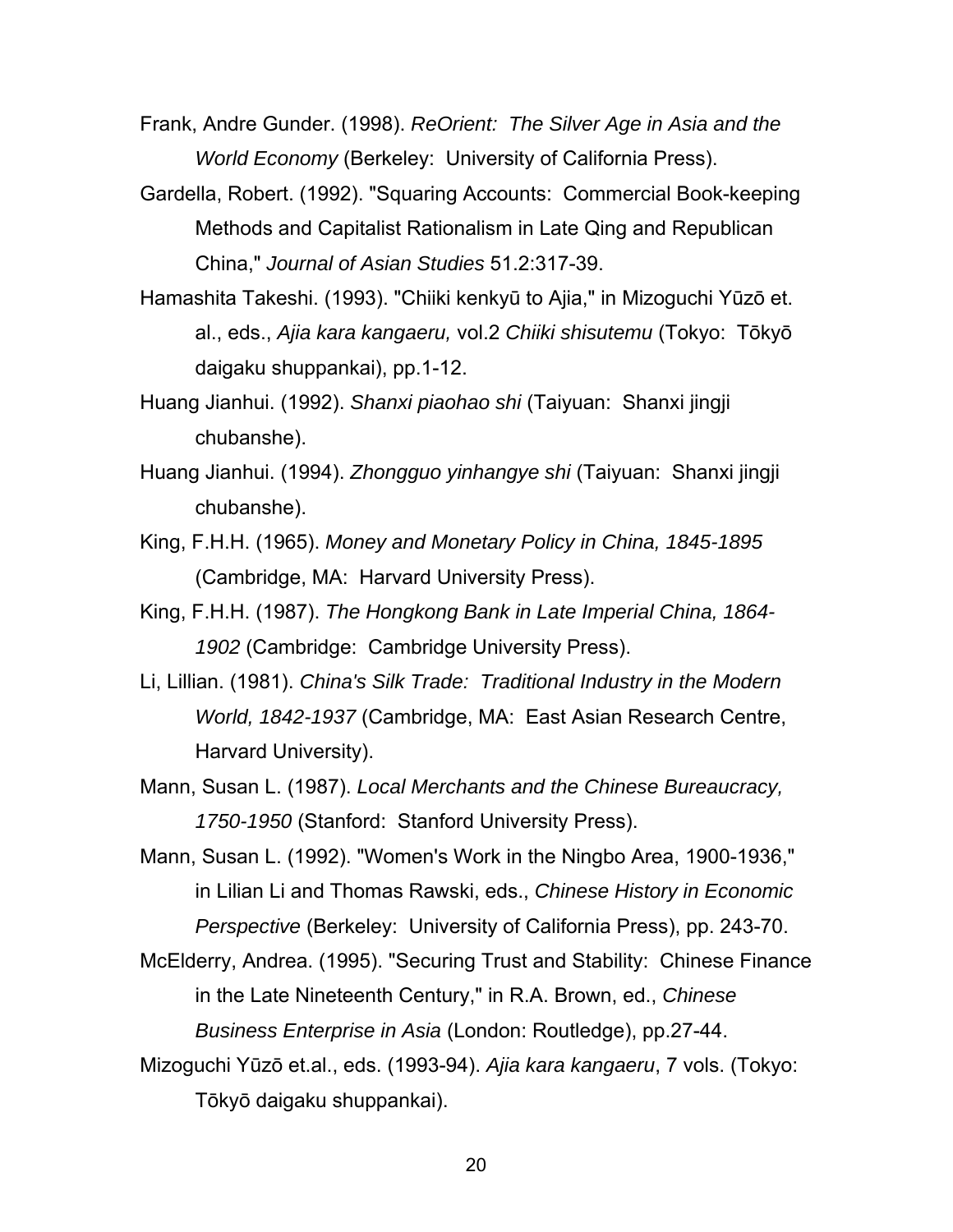Frank, Andre Gunder. (1998). *ReOrient: The Silver Age in Asia and the World Economy* (Berkeley: University of California Press).

- Gardella, Robert. (1992). "Squaring Accounts: Commercial Book-keeping Methods and Capitalist Rationalism in Late Qing and Republican China," *Journal of Asian Studies* 51.2:317-39.
- Hamashita Takeshi. (1993). "Chiiki kenkyū to Ajia," in Mizoguchi Yūzō et. al., eds., *Ajia kara kangaeru,* vol.2 *Chiiki shisutemu* (Tokyo: Tōkyō daigaku shuppankai), pp.1-12.
- Huang Jianhui. (1992). *Shanxi piaohao shi* (Taiyuan: Shanxi jingji chubanshe).
- Huang Jianhui. (1994). *Zhongguo yinhangye shi* (Taiyuan: Shanxi jingji chubanshe).
- King, F.H.H. (1965). *Money and Monetary Policy in China, 1845-1895* (Cambridge, MA: Harvard University Press).
- King, F.H.H. (1987). *The Hongkong Bank in Late Imperial China, 1864- 1902* (Cambridge: Cambridge University Press).
- Li, Lillian. (1981). *China's Silk Trade: Traditional Industry in the Modern World, 1842-1937* (Cambridge, MA: East Asian Research Centre, Harvard University).
- Mann, Susan L. (1987). *Local Merchants and the Chinese Bureaucracy, 1750-1950* (Stanford: Stanford University Press).
- Mann, Susan L. (1992). "Women's Work in the Ningbo Area, 1900-1936," in Lilian Li and Thomas Rawski, eds., *Chinese History in Economic Perspective* (Berkeley: University of California Press), pp. 243-70.
- McElderry, Andrea. (1995). "Securing Trust and Stability: Chinese Finance in the Late Nineteenth Century," in R.A. Brown, ed., *Chinese Business Enterprise in Asia* (London: Routledge), pp.27-44.
- Mizoguchi Yūzō et.al., eds. (1993-94). *Ajia kara kangaeru*, 7 vols. (Tokyo: Tōkyō daigaku shuppankai).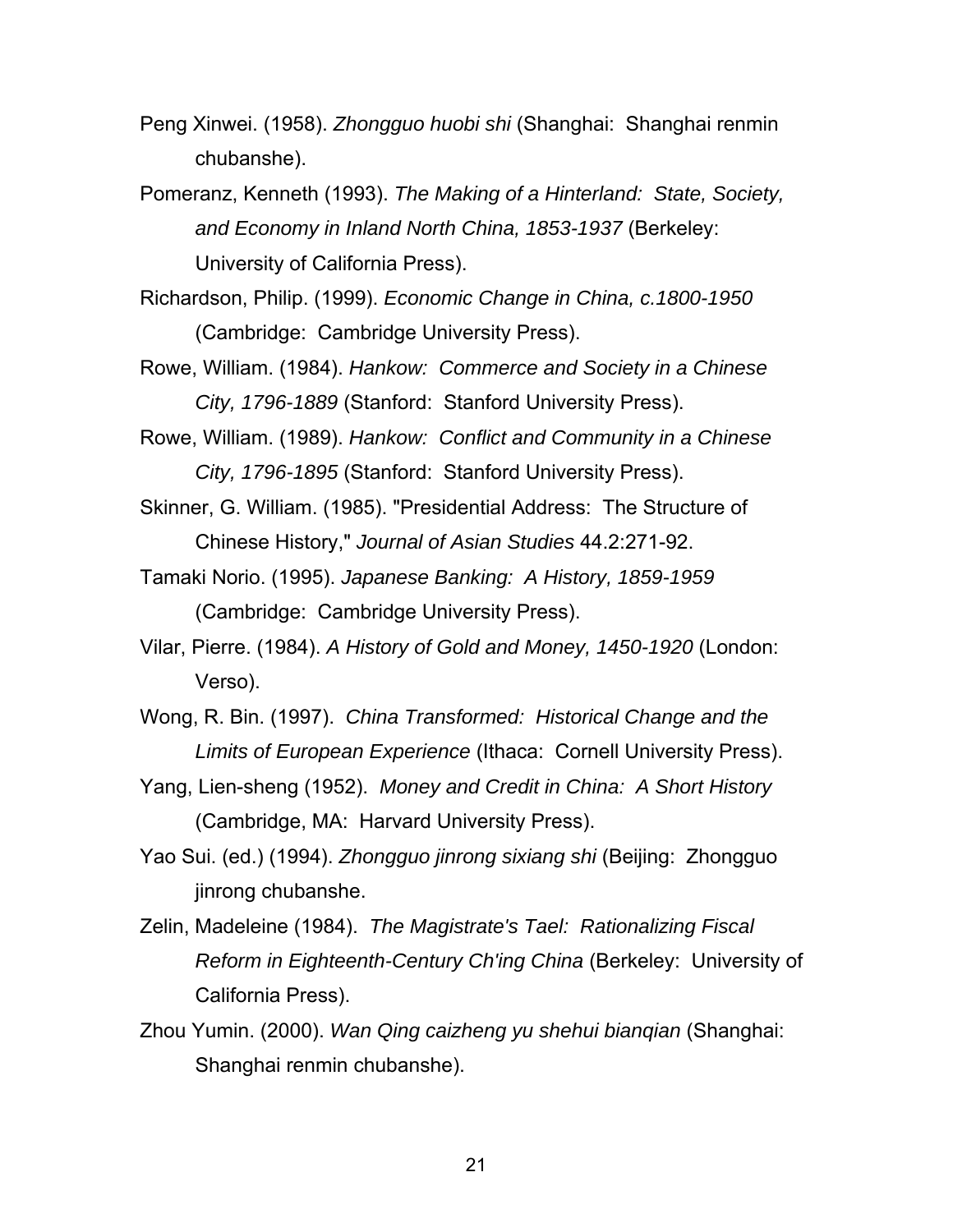- Peng Xinwei. (1958). *Zhongguo huobi shi* (Shanghai: Shanghai renmin chubanshe).
- Pomeranz, Kenneth (1993). *The Making of a Hinterland: State, Society, and Economy in Inland North China, 1853-1937* (Berkeley: University of California Press).
- Richardson, Philip. (1999). *Economic Change in China, c.1800-1950*  (Cambridge: Cambridge University Press).
- Rowe, William. (1984). *Hankow: Commerce and Society in a Chinese City, 1796-1889* (Stanford: Stanford University Press).
- Rowe, William. (1989). *Hankow: Conflict and Community in a Chinese City, 1796-1895* (Stanford: Stanford University Press).
- Skinner, G. William. (1985). "Presidential Address: The Structure of Chinese History," *Journal of Asian Studies* 44.2:271-92.
- Tamaki Norio. (1995). *Japanese Banking: A History, 1859-1959*  (Cambridge: Cambridge University Press).
- Vilar, Pierre. (1984). *A History of Gold and Money, 1450-1920* (London: Verso).
- Wong, R. Bin. (1997). *China Transformed: Historical Change and the Limits of European Experience* (Ithaca: Cornell University Press).
- Yang, Lien-sheng (1952). *Money and Credit in China: A Short History*  (Cambridge, MA: Harvard University Press).
- Yao Sui. (ed.) (1994). *Zhongguo jinrong sixiang shi* (Beijing: Zhongguo jinrong chubanshe.
- Zelin, Madeleine (1984). *The Magistrate's Tael: Rationalizing Fiscal Reform in Eighteenth-Century Ch'ing China* (Berkeley: University of California Press).
- Zhou Yumin. (2000). *Wan Qing caizheng yu shehui bianqian* (Shanghai: Shanghai renmin chubanshe).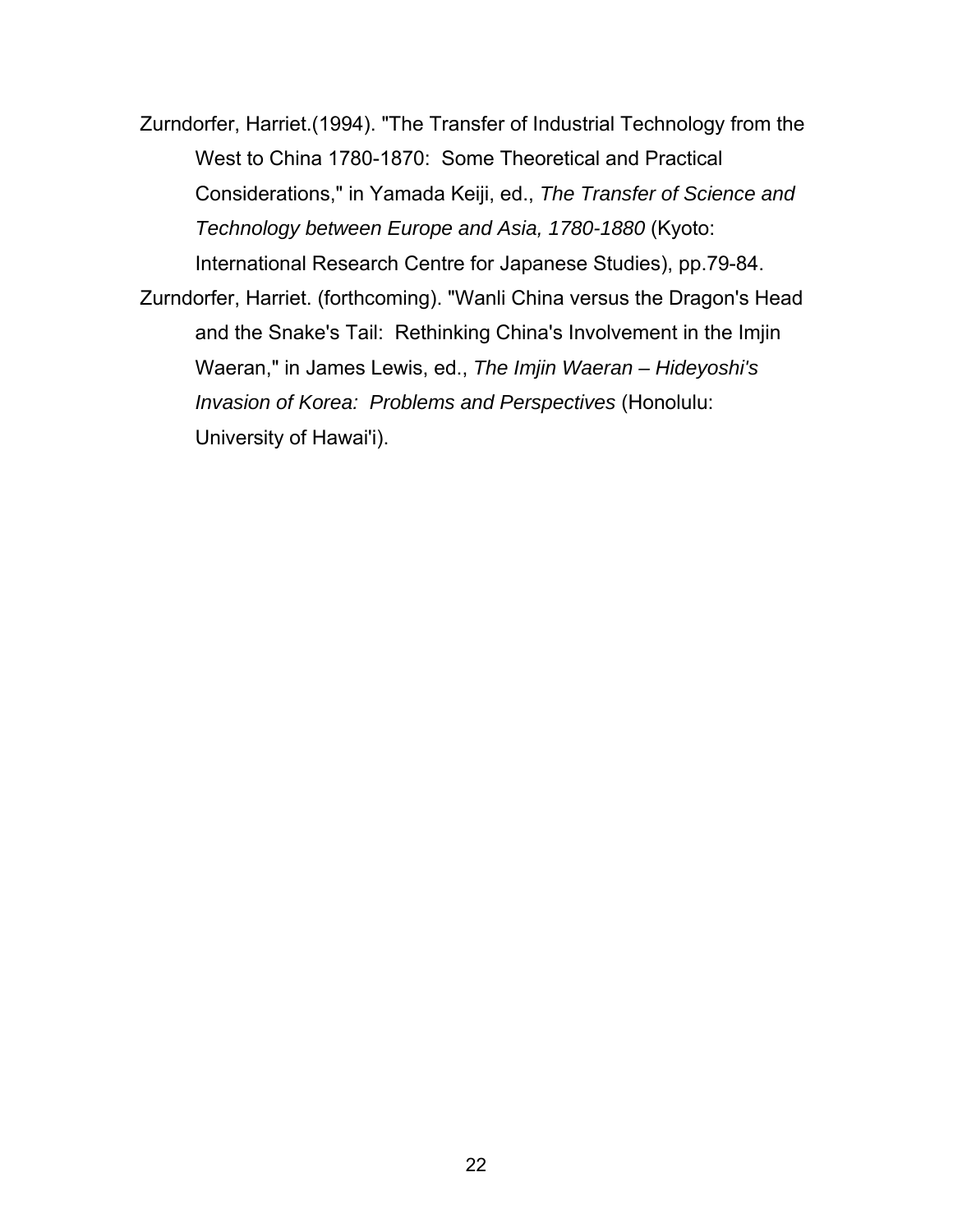Zurndorfer, Harriet.(1994). "The Transfer of Industrial Technology from the West to China 1780-1870: Some Theoretical and Practical Considerations," in Yamada Keiji, ed., *The Transfer of Science and Technology between Europe and Asia, 1780-1880* (Kyoto: International Research Centre for Japanese Studies), pp.79-84.

Zurndorfer, Harriet. (forthcoming). "Wanli China versus the Dragon's Head and the Snake's Tail: Rethinking China's Involvement in the Imjin Waeran," in James Lewis, ed., *The Imjin Waeran – Hideyoshi's Invasion of Korea: Problems and Perspectives* (Honolulu: University of Hawai'i).